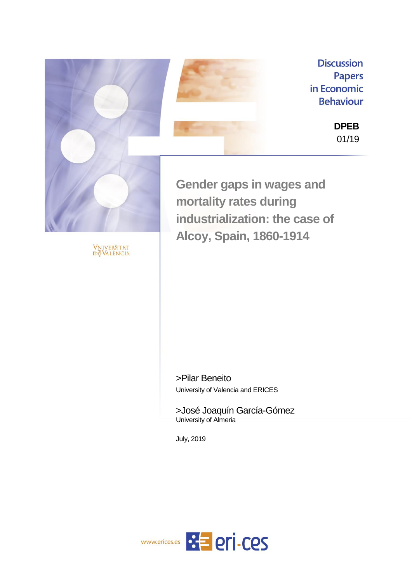

Vniver§itat<br>dğValència

**Discussion Papers** in Economic **Behaviour** 

> **DPEB** 01/19

**Gender gaps in wages and mortality rates during industrialization: the case of Alcoy, Spain, 1860-1914**

>Pilar Beneito University of Valencia and ERICES

>José Joaquín García-Gómez University of Almeria

July, 2019

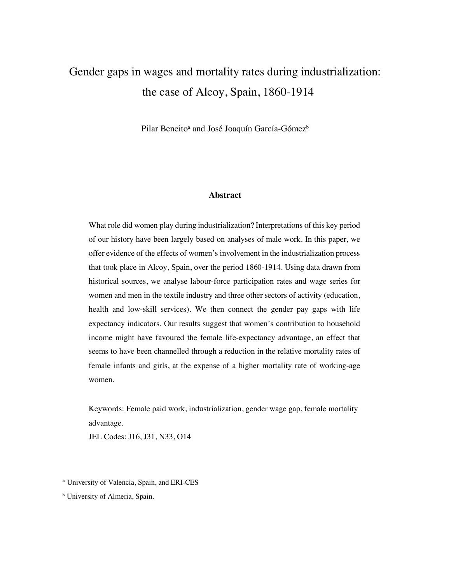# Gender gaps in wages and mortality rates during industrialization: the case of Alcoy, Spain, 1860-1914

Pilar Beneito<sup>a</sup> and José Joaquín García-Gómez<sup>b</sup>

## **Abstract**

What role did women play during industrialization? Interpretations of this key period of our history have been largely based on analyses of male work. In this paper, we offer evidence of the effects of women's involvement in the industrialization process that took place in Alcoy, Spain, over the period 1860-1914. Using data drawn from historical sources, we analyse labour-force participation rates and wage series for women and men in the textile industry and three other sectors of activity (education, health and low-skill services). We then connect the gender pay gaps with life expectancy indicators. Our results suggest that women's contribution to household income might have favoured the female life-expectancy advantage, an effect that seems to have been channelled through a reduction in the relative mortality rates of female infants and girls, at the expense of a higher mortality rate of working-age women.

Keywords: Female paid work, industrialization, gender wage gap, female mortality advantage.

JEL Codes: J16, J31, N33, O14

<sup>a</sup> University of Valencia, Spain, and ERI-CES

**b** University of Almeria, Spain.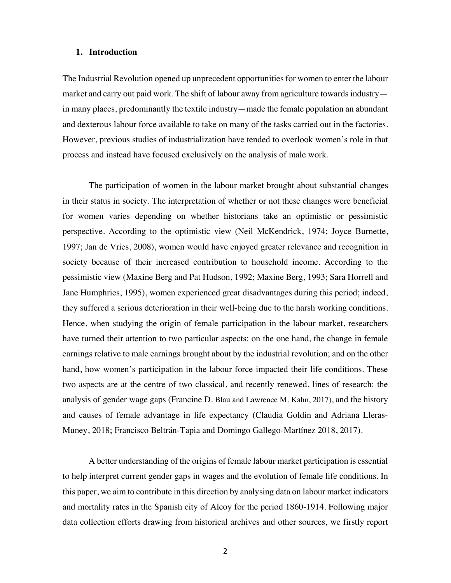## **1. Introduction**

The Industrial Revolution opened up unprecedent opportunities for women to enter the labour market and carry out paid work. The shift of labour away from agriculture towards industry in many places, predominantly the textile industry—made the female population an abundant and dexterous labour force available to take on many of the tasks carried out in the factories. However, previous studies of industrialization have tended to overlook women's role in that process and instead have focused exclusively on the analysis of male work.

The participation of women in the labour market brought about substantial changes in their status in society. The interpretation of whether or not these changes were beneficial for women varies depending on whether historians take an optimistic or pessimistic perspective. According to the optimistic view (Neil McKendrick, 1974; Joyce Burnette, 1997; Jan de Vries, 2008), women would have enjoyed greater relevance and recognition in society because of their increased contribution to household income. According to the pessimistic view (Maxine Berg and Pat Hudson, 1992; Maxine Berg, 1993; Sara Horrell and Jane Humphries, 1995), women experienced great disadvantages during this period; indeed, they suffered a serious deterioration in their well-being due to the harsh working conditions. Hence, when studying the origin of female participation in the labour market, researchers have turned their attention to two particular aspects: on the one hand, the change in female earnings relative to male earnings brought about by the industrial revolution; and on the other hand, how women's participation in the labour force impacted their life conditions. These two aspects are at the centre of two classical, and recently renewed, lines of research: the analysis of gender wage gaps (Francine D. Blau and Lawrence M. Kahn, 2017), and the history and causes of female advantage in life expectancy (Claudia Goldin and Adriana Lleras-Muney, 2018; Francisco Beltrán-Tapia and Domingo Gallego-Martínez 2018, 2017).

A better understanding of the origins of female labour market participation is essential to help interpret current gender gaps in wages and the evolution of female life conditions. In this paper, we aim to contribute in this direction by analysing data on labour market indicators and mortality rates in the Spanish city of Alcoy for the period 1860-1914. Following major data collection efforts drawing from historical archives and other sources, we firstly report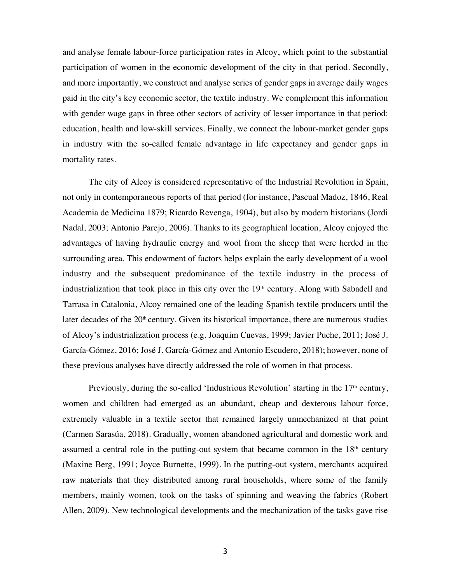and analyse female labour-force participation rates in Alcoy, which point to the substantial participation of women in the economic development of the city in that period. Secondly, and more importantly, we construct and analyse series of gender gaps in average daily wages paid in the city's key economic sector, the textile industry. We complement this information with gender wage gaps in three other sectors of activity of lesser importance in that period: education, health and low-skill services. Finally, we connect the labour-market gender gaps in industry with the so-called female advantage in life expectancy and gender gaps in mortality rates.

The city of Alcoy is considered representative of the Industrial Revolution in Spain, not only in contemporaneous reports of that period (for instance, Pascual Madoz, 1846, Real Academia de Medicina 1879; Ricardo Revenga, 1904), but also by modern historians (Jordi Nadal, 2003; Antonio Parejo, 2006). Thanks to its geographical location, Alcoy enjoyed the advantages of having hydraulic energy and wool from the sheep that were herded in the surrounding area. This endowment of factors helps explain the early development of a wool industry and the subsequent predominance of the textile industry in the process of industrialization that took place in this city over the 19<sup>th</sup> century. Along with Sabadell and Tarrasa in Catalonia, Alcoy remained one of the leading Spanish textile producers until the later decades of the  $20<sup>th</sup>$  century. Given its historical importance, there are numerous studies of Alcoy's industrialization process (e.g. Joaquim Cuevas, 1999; Javier Puche, 2011; José J. García-Gómez, 2016; José J. García-Gómez and Antonio Escudero, 2018); however, none of these previous analyses have directly addressed the role of women in that process.

Previously, during the so-called 'Industrious Revolution' starting in the  $17<sup>th</sup>$  century, women and children had emerged as an abundant, cheap and dexterous labour force, extremely valuable in a textile sector that remained largely unmechanized at that point (Carmen Sarasúa, 2018). Gradually, women abandoned agricultural and domestic work and assumed a central role in the putting-out system that became common in the  $18<sup>th</sup>$  century (Maxine Berg, 1991; Joyce Burnette, 1999). In the putting-out system, merchants acquired raw materials that they distributed among rural households, where some of the family members, mainly women, took on the tasks of spinning and weaving the fabrics (Robert Allen, 2009). New technological developments and the mechanization of the tasks gave rise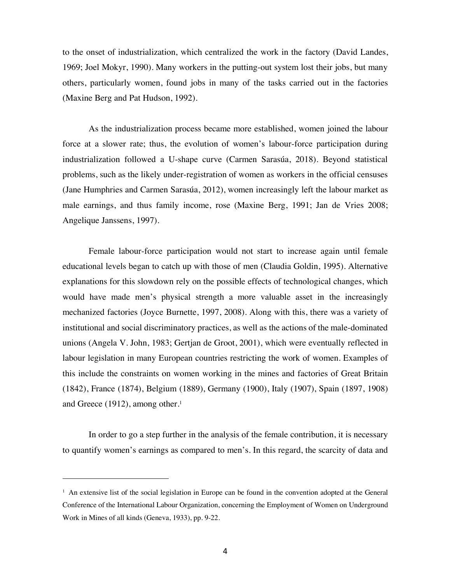to the onset of industrialization, which centralized the work in the factory (David Landes, 1969; Joel Mokyr, 1990). Many workers in the putting-out system lost their jobs, but many others, particularly women, found jobs in many of the tasks carried out in the factories (Maxine Berg and Pat Hudson, 1992).

As the industrialization process became more established, women joined the labour force at a slower rate; thus, the evolution of women's labour-force participation during industrialization followed a U-shape curve (Carmen Sarasúa, 2018). Beyond statistical problems, such as the likely under-registration of women as workers in the official censuses (Jane Humphries and Carmen Sarasúa, 2012), women increasingly left the labour market as male earnings, and thus family income, rose (Maxine Berg, 1991; Jan de Vries 2008; Angelique Janssens, 1997).

Female labour-force participation would not start to increase again until female educational levels began to catch up with those of men (Claudia Goldin, 1995). Alternative explanations for this slowdown rely on the possible effects of technological changes, which would have made men's physical strength a more valuable asset in the increasingly mechanized factories (Joyce Burnette, 1997, 2008). Along with this, there was a variety of institutional and social discriminatory practices, as well as the actions of the male-dominated unions (Angela V. John, 1983; Gertjan de Groot, 2001), which were eventually reflected in labour legislation in many European countries restricting the work of women. Examples of this include the constraints on women working in the mines and factories of Great Britain (1842), France (1874), Belgium (1889), Germany (1900), Italy (1907), Spain (1897, 1908) and Greece (1912), among other.<sup>1</sup>

In order to go a step further in the analysis of the female contribution, it is necessary to quantify women's earnings as compared to men's. In this regard, the scarcity of data and

 $<sup>1</sup>$  An extensive list of the social legislation in Europe can be found in the convention adopted at the General</sup> Conference of the International Labour Organization, concerning the Employment of Women on Underground Work in Mines of all kinds (Geneva, 1933), pp. 9-22.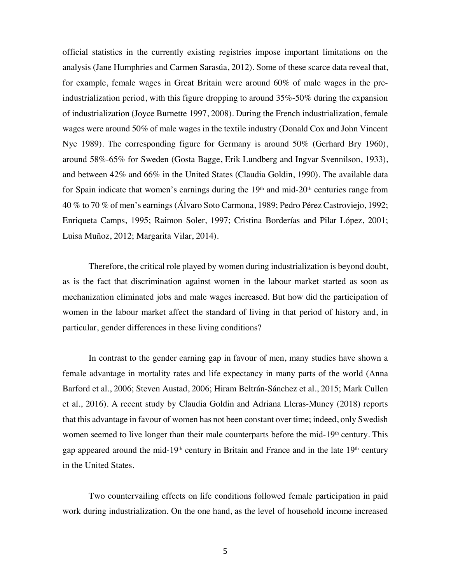official statistics in the currently existing registries impose important limitations on the analysis (Jane Humphries and Carmen Sarasúa, 2012). Some of these scarce data reveal that, for example, female wages in Great Britain were around 60% of male wages in the preindustrialization period, with this figure dropping to around 35%-50% during the expansion of industrialization (Joyce Burnette 1997, 2008). During the French industrialization, female wages were around 50% of male wages in the textile industry (Donald Cox and John Vincent Nye 1989). The corresponding figure for Germany is around 50% (Gerhard Bry 1960), around 58%-65% for Sweden (Gosta Bagge, Erik Lundberg and Ingvar Svennilson, 1933), and between 42% and 66% in the United States (Claudia Goldin, 1990). The available data for Spain indicate that women's earnings during the  $19<sup>th</sup>$  and mid- $20<sup>th</sup>$  centuries range from 40 % to 70 % of men's earnings (Álvaro Soto Carmona, 1989; Pedro Pérez Castroviejo, 1992; Enriqueta Camps, 1995; Raimon Soler, 1997; Cristina Borderías and Pilar López, 2001; Luisa Muñoz, 2012; Margarita Vilar, 2014).

Therefore, the critical role played by women during industrialization is beyond doubt, as is the fact that discrimination against women in the labour market started as soon as mechanization eliminated jobs and male wages increased. But how did the participation of women in the labour market affect the standard of living in that period of history and, in particular, gender differences in these living conditions?

In contrast to the gender earning gap in favour of men, many studies have shown a female advantage in mortality rates and life expectancy in many parts of the world (Anna Barford et al., 2006; Steven Austad, 2006; Hiram Beltrán-Sánchez et al., 2015; Mark Cullen et al., 2016). A recent study by Claudia Goldin and Adriana Lleras-Muney (2018) reports that this advantage in favour of women has not been constant over time; indeed, only Swedish women seemed to live longer than their male counterparts before the mid-19<sup>th</sup> century. This gap appeared around the mid-19<sup>th</sup> century in Britain and France and in the late  $19<sup>th</sup>$  century in the United States.

Two countervailing effects on life conditions followed female participation in paid work during industrialization. On the one hand, as the level of household income increased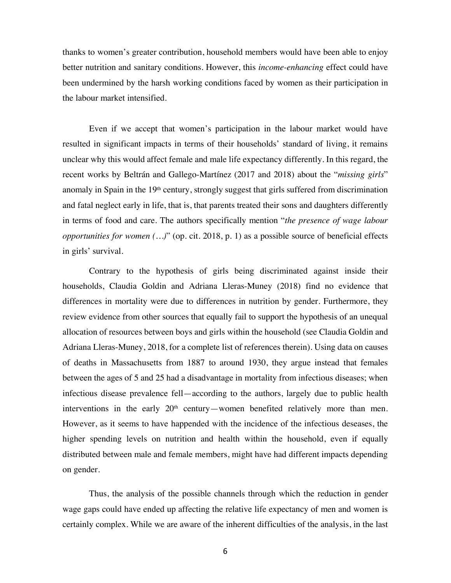thanks to women's greater contribution, household members would have been able to enjoy better nutrition and sanitary conditions. However, this *income-enhancing* effect could have been undermined by the harsh working conditions faced by women as their participation in the labour market intensified.

Even if we accept that women's participation in the labour market would have resulted in significant impacts in terms of their households' standard of living, it remains unclear why this would affect female and male life expectancy differently. In this regard, the recent works by Beltrán and Gallego-Martínez (2017 and 2018) about the "*missing girls*" anomaly in Spain in the 19<sup>th</sup> century, strongly suggest that girls suffered from discrimination and fatal neglect early in life, that is, that parents treated their sons and daughters differently in terms of food and care. The authors specifically mention "*the presence of wage labour opportunities for women* (...)" (op. cit. 2018, p. 1) as a possible source of beneficial effects in girls' survival.

Contrary to the hypothesis of girls being discriminated against inside their households, Claudia Goldin and Adriana Lleras-Muney (2018) find no evidence that differences in mortality were due to differences in nutrition by gender. Furthermore, they review evidence from other sources that equally fail to support the hypothesis of an unequal allocation of resources between boys and girls within the household (see Claudia Goldin and Adriana Lleras-Muney, 2018, for a complete list of references therein). Using data on causes of deaths in Massachusetts from 1887 to around 1930, they argue instead that females between the ages of 5 and 25 had a disadvantage in mortality from infectious diseases; when infectious disease prevalence fell—according to the authors, largely due to public health interventions in the early  $20<sup>th</sup>$  century—women benefited relatively more than men. However, as it seems to have happended with the incidence of the infectious deseases, the higher spending levels on nutrition and health within the household, even if equally distributed between male and female members, might have had different impacts depending on gender.

Thus, the analysis of the possible channels through which the reduction in gender wage gaps could have ended up affecting the relative life expectancy of men and women is certainly complex. While we are aware of the inherent difficulties of the analysis, in the last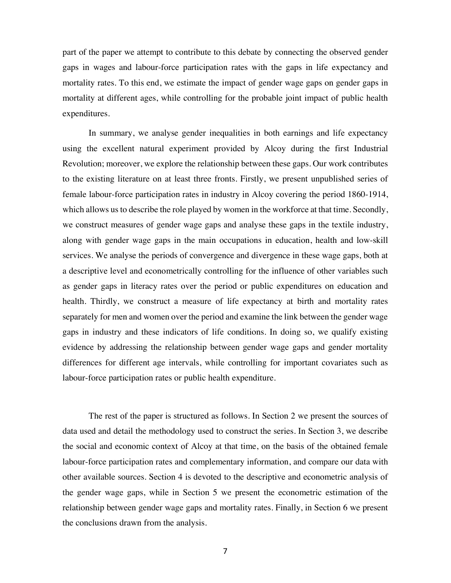part of the paper we attempt to contribute to this debate by connecting the observed gender gaps in wages and labour-force participation rates with the gaps in life expectancy and mortality rates. To this end, we estimate the impact of gender wage gaps on gender gaps in mortality at different ages, while controlling for the probable joint impact of public health expenditures.

In summary, we analyse gender inequalities in both earnings and life expectancy using the excellent natural experiment provided by Alcoy during the first Industrial Revolution; moreover, we explore the relationship between these gaps. Our work contributes to the existing literature on at least three fronts. Firstly, we present unpublished series of female labour-force participation rates in industry in Alcoy covering the period 1860-1914, which allows us to describe the role played by women in the workforce at that time. Secondly, we construct measures of gender wage gaps and analyse these gaps in the textile industry, along with gender wage gaps in the main occupations in education, health and low-skill services. We analyse the periods of convergence and divergence in these wage gaps, both at a descriptive level and econometrically controlling for the influence of other variables such as gender gaps in literacy rates over the period or public expenditures on education and health. Thirdly, we construct a measure of life expectancy at birth and mortality rates separately for men and women over the period and examine the link between the gender wage gaps in industry and these indicators of life conditions. In doing so, we qualify existing evidence by addressing the relationship between gender wage gaps and gender mortality differences for different age intervals, while controlling for important covariates such as labour-force participation rates or public health expenditure.

The rest of the paper is structured as follows. In Section 2 we present the sources of data used and detail the methodology used to construct the series. In Section 3, we describe the social and economic context of Alcoy at that time, on the basis of the obtained female labour-force participation rates and complementary information, and compare our data with other available sources. Section 4 is devoted to the descriptive and econometric analysis of the gender wage gaps, while in Section 5 we present the econometric estimation of the relationship between gender wage gaps and mortality rates. Finally, in Section 6 we present the conclusions drawn from the analysis.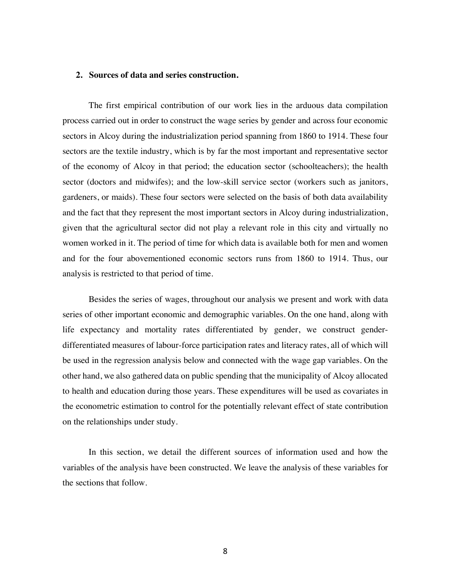## **2. Sources of data and series construction.**

The first empirical contribution of our work lies in the arduous data compilation process carried out in order to construct the wage series by gender and across four economic sectors in Alcoy during the industrialization period spanning from 1860 to 1914. These four sectors are the textile industry, which is by far the most important and representative sector of the economy of Alcoy in that period; the education sector (schoolteachers); the health sector (doctors and midwifes); and the low-skill service sector (workers such as janitors, gardeners, or maids). These four sectors were selected on the basis of both data availability and the fact that they represent the most important sectors in Alcoy during industrialization, given that the agricultural sector did not play a relevant role in this city and virtually no women worked in it. The period of time for which data is available both for men and women and for the four abovementioned economic sectors runs from 1860 to 1914. Thus, our analysis is restricted to that period of time.

Besides the series of wages, throughout our analysis we present and work with data series of other important economic and demographic variables. On the one hand, along with life expectancy and mortality rates differentiated by gender, we construct genderdifferentiated measures of labour-force participation rates and literacy rates, all of which will be used in the regression analysis below and connected with the wage gap variables. On the other hand, we also gathered data on public spending that the municipality of Alcoy allocated to health and education during those years. These expenditures will be used as covariates in the econometric estimation to control for the potentially relevant effect of state contribution on the relationships under study.

In this section, we detail the different sources of information used and how the variables of the analysis have been constructed. We leave the analysis of these variables for the sections that follow.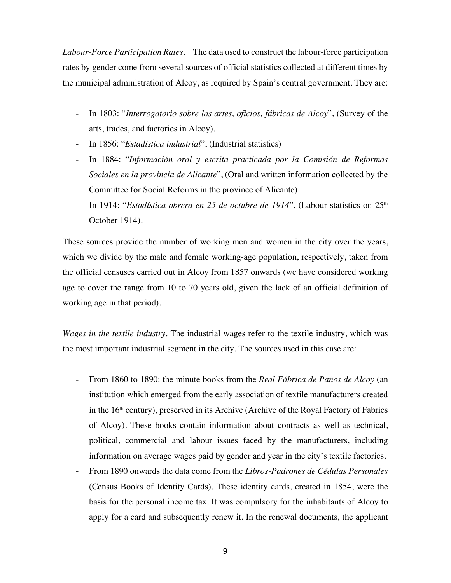*Labour-Force Participation Rates.* The data used to construct the labour-force participation rates by gender come from several sources of official statistics collected at different times by the municipal administration of Alcoy, as required by Spain's central government. They are:

- In 1803: "*Interrogatorio sobre las artes, oficios, fábricas de Alcoy*", (Survey of the arts, trades, and factories in Alcoy).
- In 1856: "*Estadística industrial*", (Industrial statistics)
- In 1884: "*Información oral y escrita practicada por la Comisión de Reformas Sociales en la provincia de Alicante*", (Oral and written information collected by the Committee for Social Reforms in the province of Alicante).
- <sup>-</sup> In 1914: "*Estadística obrera en 25 de octubre de 1914*", (Labour statistics on 25<sup>th</sup> October 1914).

These sources provide the number of working men and women in the city over the years, which we divide by the male and female working-age population, respectively, taken from the official censuses carried out in Alcoy from 1857 onwards (we have considered working age to cover the range from 10 to 70 years old, given the lack of an official definition of working age in that period).

*Wages in the textile industry.* The industrial wages refer to the textile industry, which was the most important industrial segment in the city. The sources used in this case are:

- From 1860 to 1890: the minute books from the *Real Fábrica de Paños de Alcoy* (an institution which emerged from the early association of textile manufacturers created in the  $16<sup>th</sup>$  century), preserved in its Archive (Archive of the Royal Factory of Fabrics of Alcoy). These books contain information about contracts as well as technical, political, commercial and labour issues faced by the manufacturers, including information on average wages paid by gender and year in the city's textile factories.
- From 1890 onwards the data come from the *Libros-Padrones de Cédulas Personales* (Census Books of Identity Cards). These identity cards, created in 1854, were the basis for the personal income tax. It was compulsory for the inhabitants of Alcoy to apply for a card and subsequently renew it. In the renewal documents, the applicant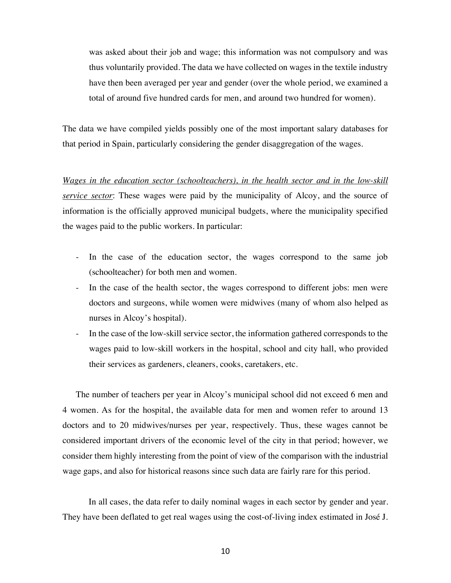was asked about their job and wage; this information was not compulsory and was thus voluntarily provided. The data we have collected on wages in the textile industry have then been averaged per year and gender (over the whole period, we examined a total of around five hundred cards for men, and around two hundred for women).

The data we have compiled yields possibly one of the most important salary databases for that period in Spain, particularly considering the gender disaggregation of the wages.

*Wages in the education sector (schoolteachers), in the health sector and in the low-skill service sector*: These wages were paid by the municipality of Alcoy, and the source of information is the officially approved municipal budgets, where the municipality specified the wages paid to the public workers. In particular:

- In the case of the education sector, the wages correspond to the same job (schoolteacher) for both men and women.
- In the case of the health sector, the wages correspond to different jobs: men were doctors and surgeons, while women were midwives (many of whom also helped as nurses in Alcoy's hospital).
- In the case of the low-skill service sector, the information gathered corresponds to the wages paid to low-skill workers in the hospital, school and city hall, who provided their services as gardeners, cleaners, cooks, caretakers, etc.

The number of teachers per year in Alcoy's municipal school did not exceed 6 men and 4 women. As for the hospital, the available data for men and women refer to around 13 doctors and to 20 midwives/nurses per year, respectively. Thus, these wages cannot be considered important drivers of the economic level of the city in that period; however, we consider them highly interesting from the point of view of the comparison with the industrial wage gaps, and also for historical reasons since such data are fairly rare for this period.

In all cases, the data refer to daily nominal wages in each sector by gender and year. They have been deflated to get real wages using the cost-of-living index estimated in José J.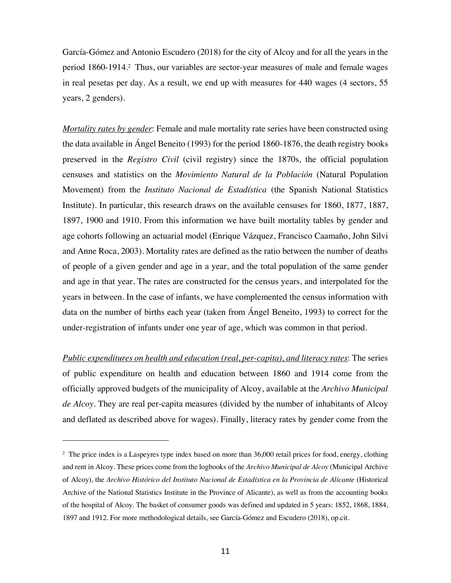García-Gómez and Antonio Escudero (2018) for the city of Alcoy and for all the years in the period 1860-1914.2 Thus, our variables are sector-year measures of male and female wages in real pesetas per day. As a result, we end up with measures for 440 wages (4 sectors, 55 years, 2 genders).

*Mortality rates by gender*: Female and male mortality rate series have been constructed using the data available in Ángel Beneito (1993) for the period 1860-1876, the death registry books preserved in the *Registro Civil* (civil registry) since the 1870s, the official population censuses and statistics on the *Movimiento Natural de la Población* (Natural Population Movement) from the *Instituto Nacional de Estadística* (the Spanish National Statistics Institute). In particular, this research draws on the available censuses for 1860, 1877, 1887, 1897, 1900 and 1910. From this information we have built mortality tables by gender and age cohorts following an actuarial model (Enrique Vázquez, Francisco Caamaño, John Silvi and Anne Roca, 2003). Mortality rates are defined as the ratio between the number of deaths of people of a given gender and age in a year, and the total population of the same gender and age in that year. The rates are constructed for the census years, and interpolated for the years in between. In the case of infants, we have complemented the census information with data on the number of births each year (taken from Ángel Beneito, 1993) to correct for the under-registration of infants under one year of age, which was common in that period.

*Public expenditures on health and education (real, per-capita), and literacy rates*: The series of public expenditure on health and education between 1860 and 1914 come from the officially approved budgets of the municipality of Alcoy, available at the *Archivo Municipal de Alcoy*. They are real per-capita measures (divided by the number of inhabitants of Alcoy and deflated as described above for wages). Finally, literacy rates by gender come from the

<sup>&</sup>lt;sup>2</sup> The price index is a Laspeyres type index based on more than 36,000 retail prices for food, energy, clothing and rent in Alcoy. These prices come from the logbooks of the *Archivo Municipal de Alcoy* (Municipal Archive of Alcoy), the *Archivo Histórico del Instituto Nacional de Estadística en la Provincia de Alicante* (Historical Archive of the National Statistics Institute in the Province of Alicante), as well as from the accounting books of the hospital of Alcoy. The basket of consumer goods was defined and updated in 5 years: 1852, 1868, 1884, 1897 and 1912. For more methodological details, see García-Gómez and Escudero (2018), op.cit.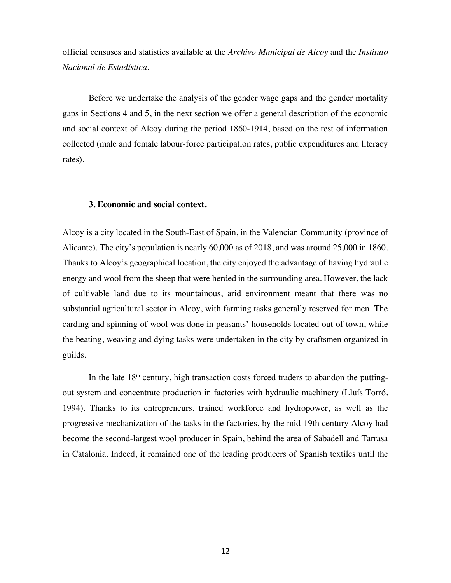official censuses and statistics available at the *Archivo Municipal de Alcoy* and the *Instituto Nacional de Estadística.*

Before we undertake the analysis of the gender wage gaps and the gender mortality gaps in Sections 4 and 5, in the next section we offer a general description of the economic and social context of Alcoy during the period 1860-1914, based on the rest of information collected (male and female labour-force participation rates, public expenditures and literacy rates).

## **3. Economic and social context.**

Alcoy is a city located in the South-East of Spain, in the Valencian Community (province of Alicante). The city's population is nearly 60,000 as of 2018, and was around 25,000 in 1860. Thanks to Alcoy's geographical location, the city enjoyed the advantage of having hydraulic energy and wool from the sheep that were herded in the surrounding area. However, the lack of cultivable land due to its mountainous, arid environment meant that there was no substantial agricultural sector in Alcoy, with farming tasks generally reserved for men. The carding and spinning of wool was done in peasants' households located out of town, while the beating, weaving and dying tasks were undertaken in the city by craftsmen organized in guilds.

In the late  $18<sup>th</sup>$  century, high transaction costs forced traders to abandon the puttingout system and concentrate production in factories with hydraulic machinery (Lluís Torró, 1994). Thanks to its entrepreneurs, trained workforce and hydropower, as well as the progressive mechanization of the tasks in the factories, by the mid-19th century Alcoy had become the second-largest wool producer in Spain, behind the area of Sabadell and Tarrasa in Catalonia. Indeed, it remained one of the leading producers of Spanish textiles until the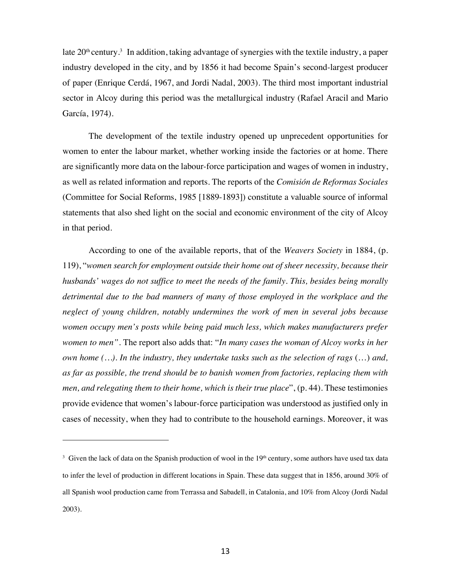late  $20^{\text{th}}$  century.<sup>3</sup> In addition, taking advantage of synergies with the textile industry, a paper industry developed in the city, and by 1856 it had become Spain's second-largest producer of paper (Enrique Cerdá, 1967, and Jordi Nadal, 2003). The third most important industrial sector in Alcoy during this period was the metallurgical industry (Rafael Aracil and Mario García, 1974).

The development of the textile industry opened up unprecedent opportunities for women to enter the labour market, whether working inside the factories or at home. There are significantly more data on the labour-force participation and wages of women in industry, as well as related information and reports. The reports of the *Comisión de Reformas Sociales* (Committee for Social Reforms, 1985 [1889-1893]) constitute a valuable source of informal statements that also shed light on the social and economic environment of the city of Alcoy in that period.

According to one of the available reports, that of the *Weavers Society* in 1884, (p. 119), "*women search for employment outside their home out of sheer necessity, because their husbands' wages do not suffice to meet the needs of the family. This, besides being morally detrimental due to the bad manners of many of those employed in the workplace and the neglect of young children, notably undermines the work of men in several jobs because women occupy men's posts while being paid much less, which makes manufacturers prefer women to men".* The report also adds that: "*In many cases the woman of Alcoy works in her own home (…). In the industry, they undertake tasks such as the selection of rags* (…) *and, as far as possible, the trend should be to banish women from factories, replacing them with men, and relegating them to their home, which is their true place*", (p. 44). These testimonies provide evidence that women's labour-force participation was understood as justified only in cases of necessity, when they had to contribute to the household earnings. Moreover, it was

<sup>&</sup>lt;sup>3</sup> Given the lack of data on the Spanish production of wool in the 19<sup>th</sup> century, some authors have used tax data to infer the level of production in different locations in Spain. These data suggest that in 1856, around 30% of all Spanish wool production came from Terrassa and Sabadell, in Catalonia, and 10% from Alcoy (Jordi Nadal 2003).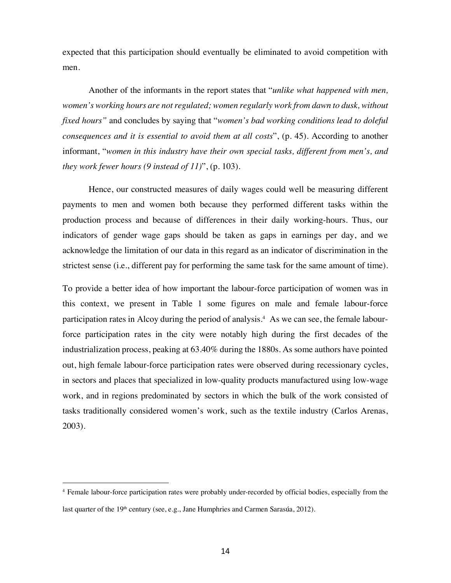expected that this participation should eventually be eliminated to avoid competition with men.

Another of the informants in the report states that "*unlike what happened with men, women's working hours are not regulated; women regularly work from dawn to dusk, without fixed hours"* and concludes by saying that "*women's bad working conditions lead to doleful consequences and it is essential to avoid them at all costs*", (p. 45). According to another informant, "*women in this industry have their own special tasks, different from men's, and they work fewer hours (9 instead of 11)*", (p. 103).

Hence, our constructed measures of daily wages could well be measuring different payments to men and women both because they performed different tasks within the production process and because of differences in their daily working-hours. Thus, our indicators of gender wage gaps should be taken as gaps in earnings per day, and we acknowledge the limitation of our data in this regard as an indicator of discrimination in the strictest sense (i.e., different pay for performing the same task for the same amount of time).

To provide a better idea of how important the labour-force participation of women was in this context, we present in Table 1 some figures on male and female labour-force participation rates in Alcoy during the period of analysis.<sup>4</sup> As we can see, the female labourforce participation rates in the city were notably high during the first decades of the industrialization process, peaking at 63.40% during the 1880s. As some authors have pointed out, high female labour-force participation rates were observed during recessionary cycles, in sectors and places that specialized in low-quality products manufactured using low-wage work, and in regions predominated by sectors in which the bulk of the work consisted of tasks traditionally considered women's work, such as the textile industry (Carlos Arenas, 2003).

 <sup>4</sup> Female labour-force participation rates were probably under-recorded by official bodies, especially from the last quarter of the 19<sup>th</sup> century (see, e.g., Jane Humphries and Carmen Sarasúa, 2012).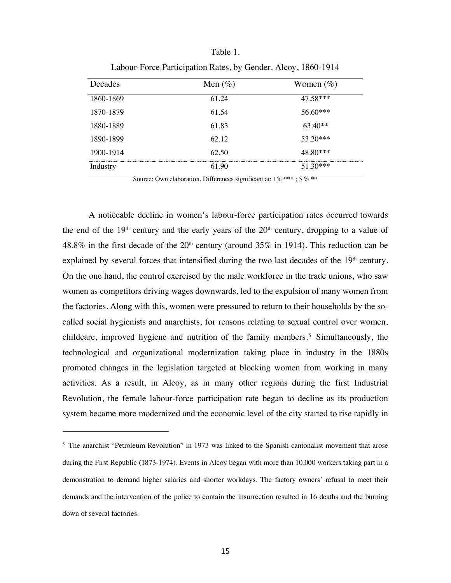| Decades   | Men $(\%)$ | Women $(\%)$ |
|-----------|------------|--------------|
| 1860-1869 | 61.24      | 47.58***     |
| 1870-1879 | 61.54      | 56.60***     |
| 1880-1889 | 61.83      | $63.40**$    |
| 1890-1899 | 62.12      | $53.20***$   |
| 1900-1914 | 62.50      | 48.80***     |
| Industry  | 61.90      | 51.30***     |

Table 1. Labour-Force Participation Rates, by Gender. Alcoy, 1860-1914

Source: Own elaboration. Differences significant at:  $1\%$  \*\*\*; 5 % \*\*

A noticeable decline in women's labour-force participation rates occurred towards the end of the  $19<sup>th</sup>$  century and the early years of the  $20<sup>th</sup>$  century, dropping to a value of 48.8% in the first decade of the  $20<sup>th</sup>$  century (around 35% in 1914). This reduction can be explained by several forces that intensified during the two last decades of the 19<sup>th</sup> century. On the one hand, the control exercised by the male workforce in the trade unions, who saw women as competitors driving wages downwards, led to the expulsion of many women from the factories. Along with this, women were pressured to return to their households by the socalled social hygienists and anarchists, for reasons relating to sexual control over women, childcare, improved hygiene and nutrition of the family members.5 Simultaneously, the technological and organizational modernization taking place in industry in the 1880s promoted changes in the legislation targeted at blocking women from working in many activities. As a result, in Alcoy, as in many other regions during the first Industrial Revolution, the female labour-force participation rate began to decline as its production system became more modernized and the economic level of the city started to rise rapidly in

<sup>&</sup>lt;sup>5</sup> The anarchist "Petroleum Revolution" in 1973 was linked to the Spanish cantonalist movement that arose during the First Republic (1873-1974). Events in Alcoy began with more than 10,000 workers taking part in a demonstration to demand higher salaries and shorter workdays. The factory owners' refusal to meet their demands and the intervention of the police to contain the insurrection resulted in 16 deaths and the burning down of several factories.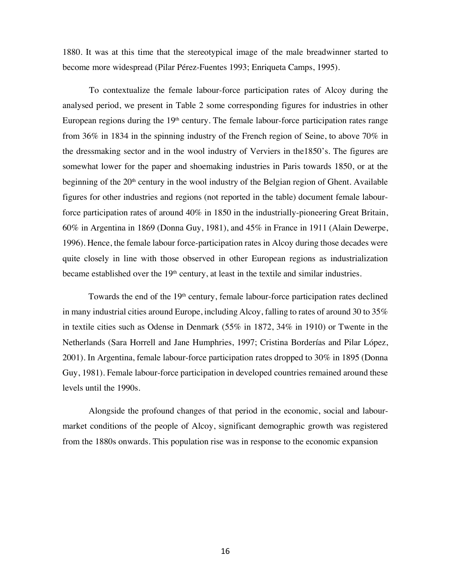1880. It was at this time that the stereotypical image of the male breadwinner started to become more widespread (Pilar Pérez-Fuentes 1993; Enriqueta Camps, 1995).

To contextualize the female labour-force participation rates of Alcoy during the analysed period, we present in Table 2 some corresponding figures for industries in other European regions during the 19<sup>th</sup> century. The female labour-force participation rates range from 36% in 1834 in the spinning industry of the French region of Seine, to above 70% in the dressmaking sector and in the wool industry of Verviers in the1850's. The figures are somewhat lower for the paper and shoemaking industries in Paris towards 1850, or at the beginning of the 20<sup>th</sup> century in the wool industry of the Belgian region of Ghent. Available figures for other industries and regions (not reported in the table) document female labourforce participation rates of around 40% in 1850 in the industrially-pioneering Great Britain, 60% in Argentina in 1869 (Donna Guy, 1981), and 45% in France in 1911 (Alain Dewerpe, 1996). Hence, the female labour force-participation rates in Alcoy during those decades were quite closely in line with those observed in other European regions as industrialization became established over the 19<sup>th</sup> century, at least in the textile and similar industries.

Towards the end of the 19<sup>th</sup> century, female labour-force participation rates declined in many industrial cities around Europe, including Alcoy, falling to rates of around 30 to 35% in textile cities such as Odense in Denmark (55% in 1872, 34% in 1910) or Twente in the Netherlands (Sara Horrell and Jane Humphries, 1997; Cristina Borderías and Pilar López, 2001). In Argentina, female labour-force participation rates dropped to 30% in 1895 (Donna Guy, 1981). Female labour-force participation in developed countries remained around these levels until the 1990s.

Alongside the profound changes of that period in the economic, social and labourmarket conditions of the people of Alcoy, significant demographic growth was registered from the 1880s onwards. This population rise was in response to the economic expansion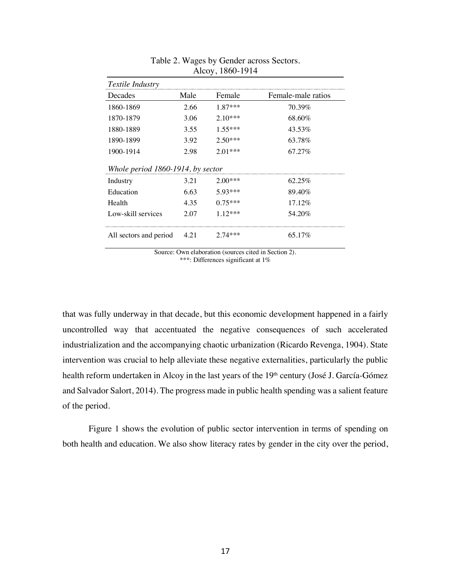| Textile Industry                  |      |           |                    |  |  |  |
|-----------------------------------|------|-----------|--------------------|--|--|--|
| Decades                           | Male | Female    | Female-male ratios |  |  |  |
| 1860-1869                         | 2.66 | $1.87***$ | 70.39%             |  |  |  |
| 1870-1879                         | 3.06 | $2.10***$ | 68.60%             |  |  |  |
| 1880-1889                         | 3.55 | $1.55***$ | 43.53%             |  |  |  |
| 1890-1899                         | 3.92 | $2.50***$ | 63.78%             |  |  |  |
| 1900-1914                         | 2.98 | $2.01***$ | 67.27%             |  |  |  |
| Whole period 1860-1914, by sector |      |           |                    |  |  |  |
| Industry                          | 3.21 | $2.00***$ | 62.25%             |  |  |  |
| Education                         | 6.63 | 5.93***   | 89.40%             |  |  |  |
| Health                            | 4.35 | $0.75***$ | 17.12%             |  |  |  |
| Low-skill services                | 2.07 | $1.12***$ | 54.20%             |  |  |  |
| All sectors and period            | 4.21 | $2.74***$ | 65.17%             |  |  |  |

# Table 2. Wages by Gender across Sectors. Alcoy, 1860-1914

Source: Own elaboration (sources cited in Section 2). \*\*\*: Differences significant at 1%

that was fully underway in that decade, but this economic development happened in a fairly uncontrolled way that accentuated the negative consequences of such accelerated industrialization and the accompanying chaotic urbanization (Ricardo Revenga, 1904). State intervention was crucial to help alleviate these negative externalities, particularly the public health reform undertaken in Alcoy in the last years of the 19<sup>th</sup> century (José J. García-Gómez and Salvador Salort, 2014). The progress made in public health spending was a salient feature of the period.

Figure 1 shows the evolution of public sector intervention in terms of spending on both health and education. We also show literacy rates by gender in the city over the period,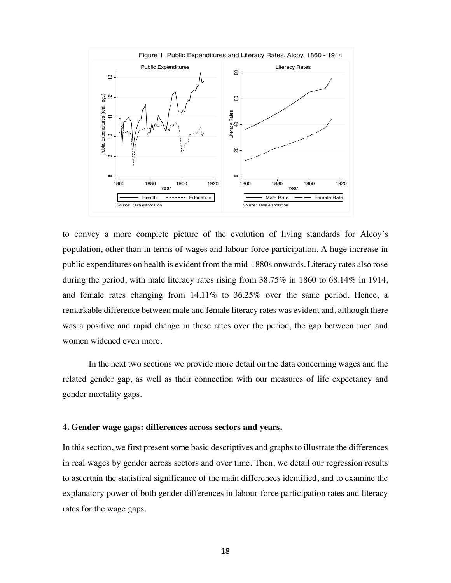

to convey a more complete picture of the evolution of living standards for Alcoy's population, other than in terms of wages and labour-force participation. A huge increase in public expenditures on health is evident from the mid-1880s onwards. Literacy rates also rose during the period, with male literacy rates rising from 38.75% in 1860 to 68.14% in 1914, and female rates changing from 14.11% to 36.25% over the same period. Hence, a remarkable difference between male and female literacy rates was evident and, although there was a positive and rapid change in these rates over the period, the gap between men and women widened even more.

In the next two sections we provide more detail on the data concerning wages and the related gender gap, as well as their connection with our measures of life expectancy and gender mortality gaps.

#### **4. Gender wage gaps: differences across sectors and years.**

In this section, we first present some basic descriptives and graphs to illustrate the differences in real wages by gender across sectors and over time. Then, we detail our regression results to ascertain the statistical significance of the main differences identified, and to examine the explanatory power of both gender differences in labour-force participation rates and literacy rates for the wage gaps.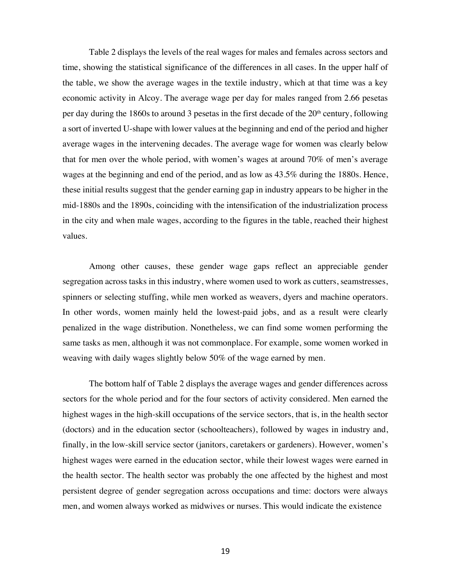Table 2 displays the levels of the real wages for males and females across sectors and time, showing the statistical significance of the differences in all cases. In the upper half of the table, we show the average wages in the textile industry, which at that time was a key economic activity in Alcoy. The average wage per day for males ranged from 2.66 pesetas per day during the 1860s to around 3 pesetas in the first decade of the  $20<sup>th</sup>$  century, following a sort of inverted U-shape with lower values at the beginning and end of the period and higher average wages in the intervening decades. The average wage for women was clearly below that for men over the whole period, with women's wages at around 70% of men's average wages at the beginning and end of the period, and as low as 43.5% during the 1880s. Hence, these initial results suggest that the gender earning gap in industry appears to be higher in the mid-1880s and the 1890s, coinciding with the intensification of the industrialization process in the city and when male wages, according to the figures in the table, reached their highest values.

Among other causes, these gender wage gaps reflect an appreciable gender segregation across tasks in this industry, where women used to work as cutters, seamstresses, spinners or selecting stuffing, while men worked as weavers, dyers and machine operators. In other words, women mainly held the lowest-paid jobs, and as a result were clearly penalized in the wage distribution. Nonetheless, we can find some women performing the same tasks as men, although it was not commonplace. For example, some women worked in weaving with daily wages slightly below 50% of the wage earned by men.

The bottom half of Table 2 displays the average wages and gender differences across sectors for the whole period and for the four sectors of activity considered. Men earned the highest wages in the high-skill occupations of the service sectors, that is, in the health sector (doctors) and in the education sector (schoolteachers), followed by wages in industry and, finally, in the low-skill service sector (janitors, caretakers or gardeners). However, women's highest wages were earned in the education sector, while their lowest wages were earned in the health sector. The health sector was probably the one affected by the highest and most persistent degree of gender segregation across occupations and time: doctors were always men, and women always worked as midwives or nurses. This would indicate the existence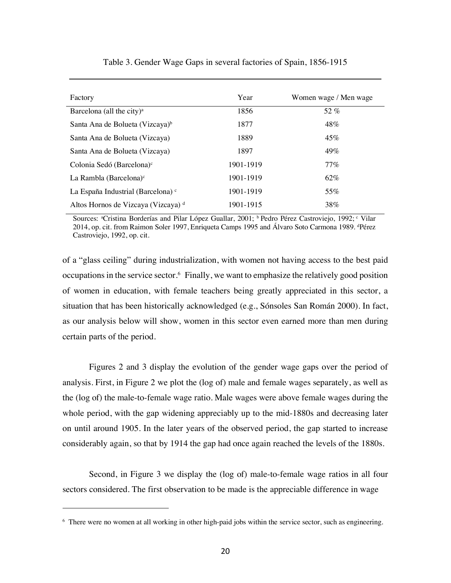| Factory                                       | Year      | Women wage / Men wage |
|-----------------------------------------------|-----------|-----------------------|
| Barcelona (all the city) $a$                  | 1856      | 52 $%$                |
| Santa Ana de Bolueta (Vizcaya) <sup>b</sup>   | 1877      | $48\%$                |
| Santa Ana de Bolueta (Vizcaya)                | 1889      | 45%                   |
| Santa Ana de Bolueta (Vizcaya)                | 1897      | 49%                   |
| Colonia Sedó (Barcelona) <sup>c</sup>         | 1901-1919 | $77\%$                |
| La Rambla (Barcelona) $\circ$                 | 1901-1919 | 62%                   |
| La España Industrial (Barcelona) <sup>c</sup> | 1901-1919 | 55%                   |
| Altos Hornos de Vizcaya (Vizcaya) d           | 1901-1915 | 38%                   |

Table 3. Gender Wage Gaps in several factories of Spain, 1856-1915

Sources: <sup>a</sup>Cristina Borderías and Pilar López Guallar, 2001; <sup>b</sup> Pedro Pérez Castroviejo, 1992; <sup>c</sup> Vilar 2014, op. cit. from Raimon Soler 1997, Enriqueta Camps 1995 and Álvaro Soto Carmona 1989. <sup>4</sup>Pérez Castroviejo, 1992, op. cit.

of a "glass ceiling" during industrialization, with women not having access to the best paid occupations in the service sector.6 Finally, we want to emphasize the relatively good position of women in education, with female teachers being greatly appreciated in this sector, a situation that has been historically acknowledged (e.g., Sónsoles San Román 2000). In fact, as our analysis below will show, women in this sector even earned more than men during certain parts of the period.

Figures 2 and 3 display the evolution of the gender wage gaps over the period of analysis. First, in Figure 2 we plot the (log of) male and female wages separately, as well as the (log of) the male-to-female wage ratio. Male wages were above female wages during the whole period, with the gap widening appreciably up to the mid-1880s and decreasing later on until around 1905. In the later years of the observed period, the gap started to increase considerably again, so that by 1914 the gap had once again reached the levels of the 1880s.

Second, in Figure 3 we display the (log of) male-to-female wage ratios in all four sectors considered. The first observation to be made is the appreciable difference in wage

<sup>6</sup> There were no women at all working in other high-paid jobs within the service sector, such as engineering.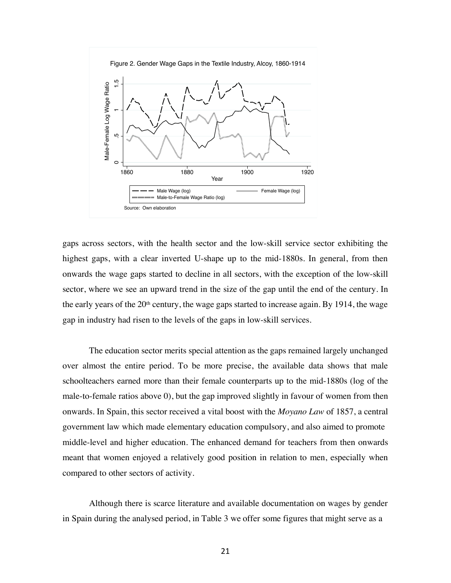

gaps across sectors, with the health sector and the low-skill service sector exhibiting the highest gaps, with a clear inverted U-shape up to the mid-1880s. In general, from then onwards the wage gaps started to decline in all sectors, with the exception of the low-skill sector, where we see an upward trend in the size of the gap until the end of the century. In the early years of the  $20<sup>th</sup>$  century, the wage gaps started to increase again. By 1914, the wage gap in industry had risen to the levels of the gaps in low-skill services.

The education sector merits special attention as the gaps remained largely unchanged over almost the entire period. To be more precise, the available data shows that male schoolteachers earned more than their female counterparts up to the mid-1880s (log of the male-to-female ratios above 0), but the gap improved slightly in favour of women from then onwards. In Spain, this sector received a vital boost with the *Moyano Law* of 1857, a central government law which made elementary education compulsory, and also aimed to promote middle-level and higher education. The enhanced demand for teachers from then onwards meant that women enjoyed a relatively good position in relation to men, especially when compared to other sectors of activity.

Although there is scarce literature and available documentation on wages by gender in Spain during the analysed period, in Table 3 we offer some figures that might serve as a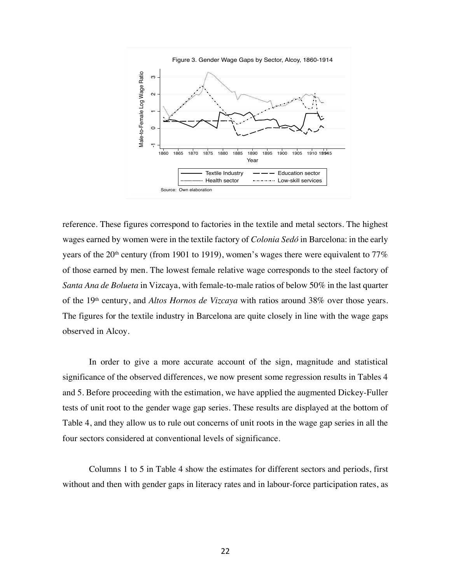

reference. These figures correspond to factories in the textile and metal sectors. The highest wages earned by women were in the textile factory of *Colonia Sedó* in Barcelona: in the early years of the 20<sup>th</sup> century (from 1901 to 1919), women's wages there were equivalent to 77% of those earned by men. The lowest female relative wage corresponds to the steel factory of *Santa Ana de Bolueta* in Vizcaya, with female-to-male ratios of below 50% in the last quarter of the 19th century, and *Altos Hornos de Vizcaya* with ratios around 38% over those years. The figures for the textile industry in Barcelona are quite closely in line with the wage gaps observed in Alcoy. Which and the new state in the state with the state and the state in the state in the state in the state in the state in the state in the continues and the state of the state in the continues and the state of the state in

In order to give a more accurate account of the sign, magnitude and statistical significance of the observed differences, we now present some regression results in Tables 4 and 5. Before proceeding with the estimation, we have applied the augmented Dickey-Fuller tests of unit root to the gender wage gap series. These results are displayed at the bottom of Table 4, and they allow us to rule out concerns of unit roots in the wage gap series in all the four sectors considered at conventional levels of significance.

Columns 1 to 5 in Table 4 show the estimates for different sectors and periods, first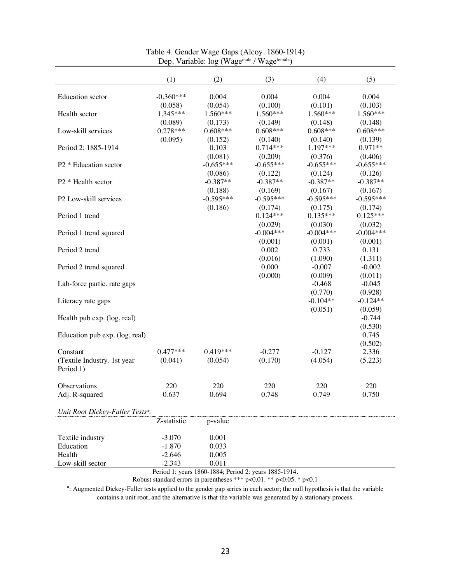|                                              | (1)         | (2)         | (3)         | (4)         | (5)         |
|----------------------------------------------|-------------|-------------|-------------|-------------|-------------|
| <b>Education</b> sector                      | $-0.360***$ | 0.004       | 0.004       | 0.004       | 0.004       |
|                                              | (0.058)     | (0.054)     | (0.100)     | (0.101)     | (0.103)     |
| Health sector                                | 1.345***    | 1.560***    | 1.560***    | 1.560***    | 1.560***    |
|                                              | (0.089)     | (0.173)     | (0.149)     | (0.148)     | (0.148)     |
| Low-skill services                           | $0.278***$  | $0.608***$  | $0.608***$  | $0.608***$  | $0.608***$  |
|                                              | (0.095)     | (0.152)     | (0.140)     | (0.140)     | (0.139)     |
| Period 2: 1885-1914                          |             | 0.103       | $0.714***$  | 1.197***    | 0.971**     |
|                                              |             | (0.081)     | (0.209)     | (0.376)     | (0.406)     |
| P <sub>2</sub> * Education sector            |             | $-0.655***$ | $-0.655***$ | $-0.655***$ | $-0.655***$ |
|                                              |             | (0.086)     | (0.122)     | (0.124)     | (0.126)     |
|                                              |             | $-0.387**$  | $-0.387**$  | $-0.387**$  | $-0.387**$  |
| P2 * Health sector                           |             |             |             |             |             |
|                                              |             | (0.188)     | (0.169)     | (0.167)     | (0.167)     |
| P2 Low-skill services                        |             | $-0.595***$ | $-0.595***$ | $-0.595***$ | $-0.595***$ |
|                                              |             | (0.186)     | (0.174)     | (0.175)     | (0.174)     |
| Period 1 trend                               |             |             | $0.124***$  | $0.135***$  | $0.125***$  |
|                                              |             |             | (0.029)     | (0.030)     | (0.032)     |
| Period 1 trend squared                       |             |             | $-0.004***$ | $-0.004***$ | $-0.004***$ |
|                                              |             |             | (0.001)     | (0.001)     | (0.001)     |
| Period 2 trend                               |             |             | 0.002       | 0.733       | 0.131       |
|                                              |             |             | (0.016)     | (1.090)     | (1.311)     |
| Period 2 trend squared                       |             |             | 0.000       | $-0.007$    | $-0.002$    |
|                                              |             |             | (0.000)     | (0.009)     | (0.011)     |
| Lab-force partic. rate gaps                  |             |             |             | $-0.468$    | $-0.045$    |
|                                              |             |             |             | (0.770)     | (0.928)     |
| Literacy rate gaps                           |             |             |             | $-0.104**$  | $-0.124**$  |
|                                              |             |             |             | (0.051)     | (0.059)     |
| Health pub exp. (log, real)                  |             |             |             |             | $-0.744$    |
|                                              |             |             |             |             | (0.530)     |
| Education pub exp. (log, real)               |             |             |             |             | 0.745       |
|                                              |             |             |             |             |             |
|                                              |             |             |             |             | (0.502)     |
| Constant                                     | $0.477***$  | $0.419***$  | $-0.277$    | $-0.127$    | 2.336       |
| (Textile Industry. 1st year                  | (0.041)     | (0.054)     | (0.170)     | (4.054)     | (5.223)     |
| Period 1)                                    |             |             |             |             |             |
| Observations                                 | 220         | 220         | 220         | 220         | 220         |
| Adj. R-squared                               | 0.637       | 0.694       | 0.748       | 0.749       | 0.750       |
|                                              |             |             |             |             |             |
| Unit Root Dickey-Fuller Tests <sup>a</sup> : |             |             |             |             |             |
|                                              | Z-statistic | p-value     |             |             |             |
| Textile industry                             | $-3.070$    | 0.001       |             |             |             |
| Education                                    | $-1.870$    | 0.033       |             |             |             |
| Health                                       | $-2.646$    | 0.005       |             |             |             |
| Low-skill sector                             | $-2.343$    | 0.011       |             |             |             |
|                                              |             |             |             |             |             |

# Table 4. Gender Wage Gaps (Alcoy. 1860-1914) Dep. Variable: log (Wage<sup>male</sup> / Wage<sup>female</sup>)

Period 1: years 1860-1884; Period 2: years 1885-1914.

Robust standard errors in parentheses \*\*\* p<0.01. \*\* p<0.05. \* p<0.1

<sup>a</sup>: Augmented Dickey-Fuller tests applied to the gender gap series in each sector; the null hypothesis is that the variable contains a unit root, and the alternative is that the variable was generated by a stationary process.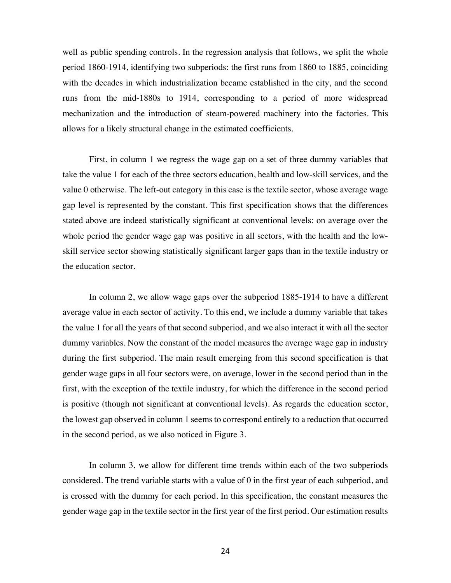well as public spending controls. In the regression analysis that follows, we split the whole period 1860-1914, identifying two subperiods: the first runs from 1860 to 1885, coinciding with the decades in which industrialization became established in the city, and the second runs from the mid-1880s to 1914, corresponding to a period of more widespread mechanization and the introduction of steam-powered machinery into the factories. This allows for a likely structural change in the estimated coefficients.

First, in column 1 we regress the wage gap on a set of three dummy variables that take the value 1 for each of the three sectors education, health and low-skill services, and the value 0 otherwise. The left-out category in this case is the textile sector, whose average wage gap level is represented by the constant. This first specification shows that the differences stated above are indeed statistically significant at conventional levels: on average over the whole period the gender wage gap was positive in all sectors, with the health and the lowskill service sector showing statistically significant larger gaps than in the textile industry or the education sector.

In column 2, we allow wage gaps over the subperiod 1885-1914 to have a different average value in each sector of activity. To this end, we include a dummy variable that takes the value 1 for all the years of that second subperiod, and we also interact it with all the sector dummy variables. Now the constant of the model measures the average wage gap in industry during the first subperiod. The main result emerging from this second specification is that gender wage gaps in all four sectors were, on average, lower in the second period than in the first, with the exception of the textile industry, for which the difference in the second period is positive (though not significant at conventional levels). As regards the education sector, the lowest gap observed in column 1 seems to correspond entirely to a reduction that occurred in the second period, as we also noticed in Figure 3.

In column 3, we allow for different time trends within each of the two subperiods considered. The trend variable starts with a value of 0 in the first year of each subperiod, and is crossed with the dummy for each period. In this specification, the constant measures the gender wage gap in the textile sector in the first year of the first period. Our estimation results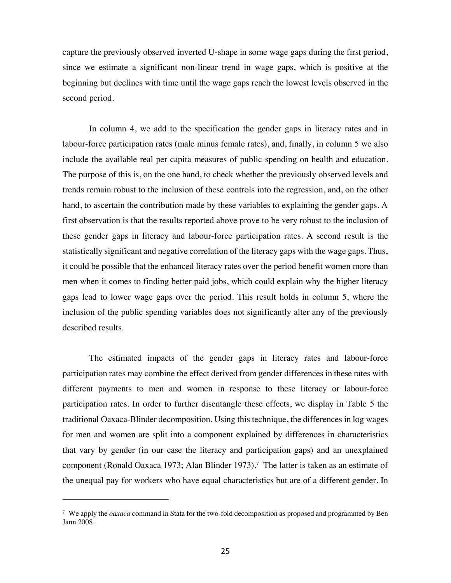capture the previously observed inverted U-shape in some wage gaps during the first period, since we estimate a significant non-linear trend in wage gaps, which is positive at the beginning but declines with time until the wage gaps reach the lowest levels observed in the second period.

In column 4, we add to the specification the gender gaps in literacy rates and in labour-force participation rates (male minus female rates), and, finally, in column 5 we also include the available real per capita measures of public spending on health and education. The purpose of this is, on the one hand, to check whether the previously observed levels and trends remain robust to the inclusion of these controls into the regression, and, on the other hand, to ascertain the contribution made by these variables to explaining the gender gaps. A first observation is that the results reported above prove to be very robust to the inclusion of these gender gaps in literacy and labour-force participation rates. A second result is the statistically significant and negative correlation of the literacy gaps with the wage gaps. Thus, it could be possible that the enhanced literacy rates over the period benefit women more than men when it comes to finding better paid jobs, which could explain why the higher literacy gaps lead to lower wage gaps over the period. This result holds in column 5, where the inclusion of the public spending variables does not significantly alter any of the previously described results.

The estimated impacts of the gender gaps in literacy rates and labour-force participation rates may combine the effect derived from gender differences in these rates with different payments to men and women in response to these literacy or labour-force participation rates. In order to further disentangle these effects, we display in Table 5 the traditional Oaxaca-Blinder decomposition. Using this technique, the differences in log wages for men and women are split into a component explained by differences in characteristics that vary by gender (in our case the literacy and participation gaps) and an unexplained component (Ronald Oaxaca 1973; Alan Blinder 1973). <sup>7</sup> The latter is taken as an estimate of the unequal pay for workers who have equal characteristics but are of a different gender. In

<sup>7</sup> We apply the *oaxaca* command in Stata for the two-fold decomposition as proposed and programmed by Ben Jann 2008.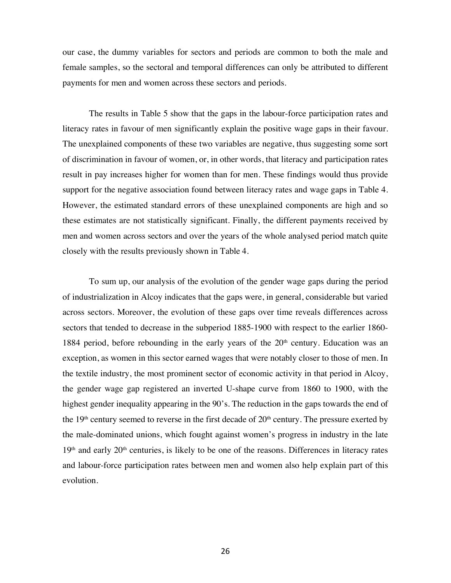our case, the dummy variables for sectors and periods are common to both the male and female samples, so the sectoral and temporal differences can only be attributed to different payments for men and women across these sectors and periods.

The results in Table 5 show that the gaps in the labour-force participation rates and literacy rates in favour of men significantly explain the positive wage gaps in their favour. The unexplained components of these two variables are negative, thus suggesting some sort of discrimination in favour of women, or, in other words, that literacy and participation rates result in pay increases higher for women than for men. These findings would thus provide support for the negative association found between literacy rates and wage gaps in Table 4. However, the estimated standard errors of these unexplained components are high and so these estimates are not statistically significant. Finally, the different payments received by men and women across sectors and over the years of the whole analysed period match quite closely with the results previously shown in Table 4.

To sum up, our analysis of the evolution of the gender wage gaps during the period of industrialization in Alcoy indicates that the gaps were, in general, considerable but varied across sectors. Moreover, the evolution of these gaps over time reveals differences across sectors that tended to decrease in the subperiod 1885-1900 with respect to the earlier 1860- 1884 period, before rebounding in the early years of the  $20<sup>th</sup>$  century. Education was an exception, as women in this sector earned wages that were notably closer to those of men. In the textile industry, the most prominent sector of economic activity in that period in Alcoy, the gender wage gap registered an inverted U-shape curve from 1860 to 1900, with the highest gender inequality appearing in the 90's. The reduction in the gaps towards the end of the  $19<sup>th</sup>$  century seemed to reverse in the first decade of  $20<sup>th</sup>$  century. The pressure exerted by the male-dominated unions, which fought against women's progress in industry in the late 19<sup>th</sup> and early 20<sup>th</sup> centuries, is likely to be one of the reasons. Differences in literacy rates and labour-force participation rates between men and women also help explain part of this evolution.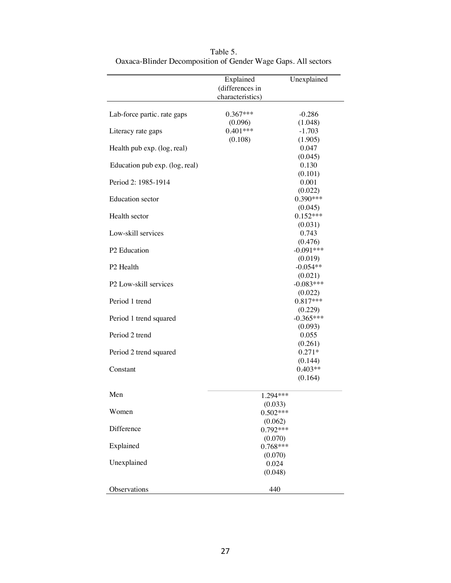|                                | Explained<br>(differences in<br>characteristics) | Unexplained           |
|--------------------------------|--------------------------------------------------|-----------------------|
| Lab-force partic. rate gaps    | $0.367***$                                       | $-0.286$              |
|                                | (0.096)                                          | (1.048)               |
| Literacy rate gaps             | $0.401***$                                       | $-1.703$              |
|                                | (0.108)                                          | (1.905)               |
| Health pub exp. (log, real)    |                                                  | 0.047                 |
| Education pub exp. (log, real) |                                                  | (0.045)<br>0.130      |
|                                |                                                  | (0.101)               |
| Period 2: 1985-1914            |                                                  | 0.001                 |
|                                |                                                  | (0.022)               |
| <b>Education</b> sector        |                                                  | 0.390***              |
|                                |                                                  | (0.045)               |
| Health sector                  |                                                  | $0.152***$            |
|                                |                                                  | (0.031)               |
| Low-skill services             |                                                  | 0.743                 |
|                                |                                                  | (0.476)               |
| P2 Education                   |                                                  | $-0.091***$           |
|                                |                                                  | (0.019)               |
| P <sub>2</sub> Health          |                                                  | $-0.054**$            |
|                                |                                                  | (0.021)               |
| P2 Low-skill services          |                                                  | $-0.083***$           |
| Period 1 trend                 |                                                  | (0.022)<br>$0.817***$ |
|                                |                                                  | (0.229)               |
| Period 1 trend squared         |                                                  | $-0.365***$           |
|                                |                                                  | (0.093)               |
| Period 2 trend                 |                                                  | 0.055                 |
|                                |                                                  | (0.261)               |
| Period 2 trend squared         |                                                  | $0.271*$              |
|                                |                                                  | (0.144)               |
| Constant                       |                                                  | $0.403**$             |
|                                |                                                  | (0.164)               |
|                                |                                                  |                       |
| Men                            | 1.294***                                         |                       |
|                                | (0.033)                                          |                       |
| Women                          | $0.502***$                                       |                       |
|                                | (0.062)                                          |                       |
| Difference                     | $0.792***$                                       |                       |
| Explained                      | (0.070)                                          |                       |
|                                | $0.768***$                                       |                       |
| Unexplained                    | (0.070)<br>0.024                                 |                       |
|                                | (0.048)                                          |                       |
|                                |                                                  |                       |
| Observations                   | 440                                              |                       |
|                                |                                                  |                       |

Table 5. Oaxaca-Blinder Decomposition of Gender Wage Gaps. All sectors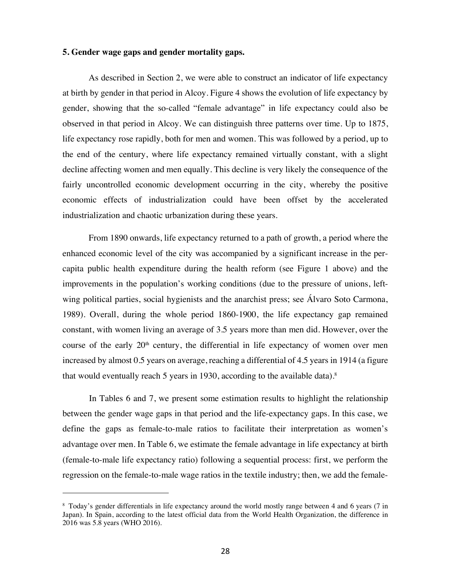# **5. Gender wage gaps and gender mortality gaps.**

As described in Section 2, we were able to construct an indicator of life expectancy at birth by gender in that period in Alcoy. Figure 4 shows the evolution of life expectancy by gender, showing that the so-called "female advantage" in life expectancy could also be observed in that period in Alcoy. We can distinguish three patterns over time. Up to 1875, life expectancy rose rapidly, both for men and women. This was followed by a period, up to the end of the century, where life expectancy remained virtually constant, with a slight decline affecting women and men equally. This decline is very likely the consequence of the fairly uncontrolled economic development occurring in the city, whereby the positive economic effects of industrialization could have been offset by the accelerated industrialization and chaotic urbanization during these years.

From 1890 onwards, life expectancy returned to a path of growth, a period where the enhanced economic level of the city was accompanied by a significant increase in the percapita public health expenditure during the health reform (see Figure 1 above) and the improvements in the population's working conditions (due to the pressure of unions, leftwing political parties, social hygienists and the anarchist press; see Álvaro Soto Carmona, 1989). Overall, during the whole period 1860-1900, the life expectancy gap remained constant, with women living an average of 3.5 years more than men did. However, over the course of the early  $20<sup>th</sup>$  century, the differential in life expectancy of women over men increased by almost 0.5 years on average, reaching a differential of 4.5 years in 1914 (a figure that would eventually reach 5 years in 1930, according to the available data).<sup>8</sup>

In Tables 6 and 7, we present some estimation results to highlight the relationship between the gender wage gaps in that period and the life-expectancy gaps. In this case, we define the gaps as female-to-male ratios to facilitate their interpretation as women's advantage over men. In Table 6, we estimate the female advantage in life expectancy at birth (female-to-male life expectancy ratio) following a sequential process: first, we perform the regression on the female-to-male wage ratios in the textile industry; then, we add the female-

<sup>8</sup> Today's gender differentials in life expectancy around the world mostly range between 4 and 6 years (7 in Japan). In Spain, according to the latest official data from the World Health Organization, the difference in 2016 was 5.8 years (WHO 2016).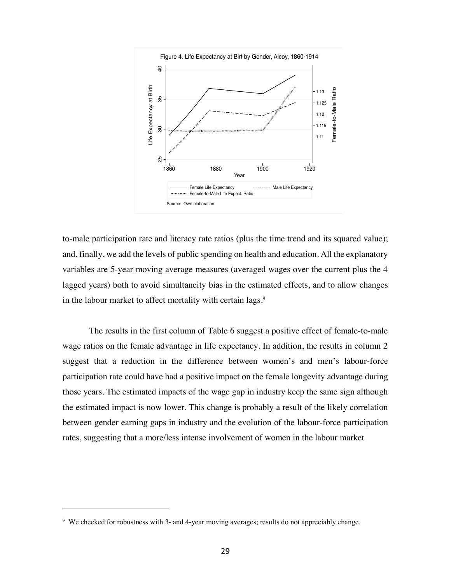

to-male participation rate and literacy rate ratios (plus the time trend and its squared value); and, finally, we add the levels of public spending on health and education. All the explanatory variables are 5-year moving average measures (averaged wages over the current plus the 4 lagged years) both to avoid simultaneity bias in the estimated effects, and to allow changes in the labour market to affect mortality with certain lags.<sup>9</sup>

The results in the first column of Table 6 suggest a positive effect of female-to-male wage ratios on the female advantage in life expectancy. In addition, the results in column 2 suggest that a reduction in the difference between women's and men's labour-force participation rate could have had a positive impact on the female longevity advantage during those years. The estimated impacts of the wage gap in industry keep the same sign although the estimated impact is now lower. This change is probably a result of the likely correlation between gender earning gaps in industry and the evolution of the labour-force participation rates, suggesting that a more/less intense involvement of women in the labour market

<sup>&</sup>lt;sup>9</sup> We checked for robustness with 3- and 4-year moving averages; results do not appreciably change.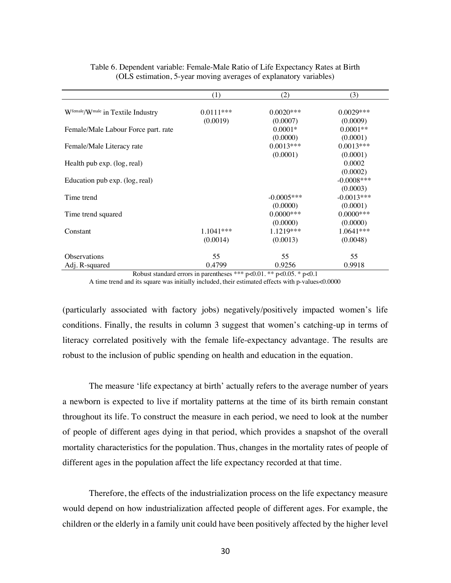|                                     | (1)         | (2)                     | (3)                      |
|-------------------------------------|-------------|-------------------------|--------------------------|
| Wfemale/Wmale in Textile Industry   | $0.0111***$ | $0.0020***$             | $0.0029***$              |
|                                     | (0.0019)    | (0.0007)                | (0.0009)                 |
| Female/Male Labour Force part. rate |             | $0.0001*$               | $0.0001**$               |
|                                     |             | (0.0000)                | (0.0001)                 |
| Female/Male Literacy rate           |             | $0.0013***$<br>(0.0001) | $0.0013***$<br>(0.0001)  |
| Health pub exp. (log, real)         |             |                         | 0.0002                   |
|                                     |             |                         | (0.0002)                 |
| Education pub exp. (log, real)      |             |                         | $-0.0008$ ***            |
|                                     |             | $-0.0005***$            | (0.0003)<br>$-0.0013***$ |
| Time trend                          |             | (0.0000)                | (0.0001)                 |
| Time trend squared                  |             | $0.0000$ ***            | $0.0000$ ***             |
|                                     |             | (0.0000)                | (0.0000)                 |
| Constant                            | $1.1041***$ | $1.1219***$             | $1.0641***$              |
|                                     | (0.0014)    | (0.0013)                | (0.0048)                 |
| <b>Observations</b>                 | 55          | 55                      | 55                       |
| Adj. R-squared                      | 0.4799      | 0.9256                  | 0.9918                   |

Table 6. Dependent variable: Female-Male Ratio of Life Expectancy Rates at Birth (OLS estimation, 5-year moving averages of explanatory variables)

Robust standard errors in parentheses \*\*\* p<0.01. \*\* p<0.05. \* p<0.1 A time trend and its square was initially included, their estimated effects with p-values<0.0000

(particularly associated with factory jobs) negatively/positively impacted women's life conditions. Finally, the results in column 3 suggest that women's catching-up in terms of literacy correlated positively with the female life-expectancy advantage. The results are robust to the inclusion of public spending on health and education in the equation.

The measure 'life expectancy at birth' actually refers to the average number of years a newborn is expected to live if mortality patterns at the time of its birth remain constant throughout its life. To construct the measure in each period, we need to look at the number of people of different ages dying in that period, which provides a snapshot of the overall mortality characteristics for the population. Thus, changes in the mortality rates of people of different ages in the population affect the life expectancy recorded at that time.

Therefore, the effects of the industrialization process on the life expectancy measure would depend on how industrialization affected people of different ages. For example, the children or the elderly in a family unit could have been positively affected by the higher level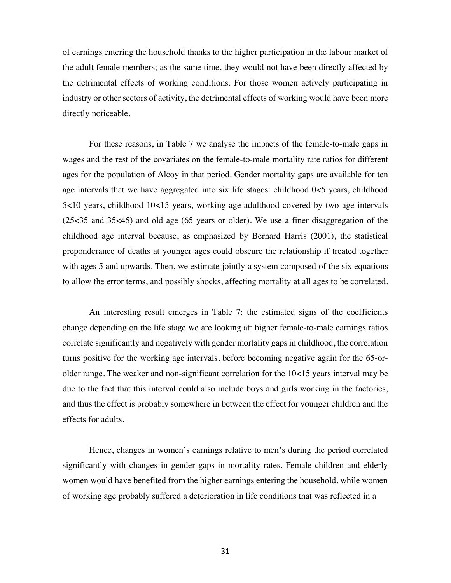of earnings entering the household thanks to the higher participation in the labour market of the adult female members; as the same time, they would not have been directly affected by the detrimental effects of working conditions. For those women actively participating in industry or other sectors of activity, the detrimental effects of working would have been more directly noticeable.

For these reasons, in Table 7 we analyse the impacts of the female-to-male gaps in wages and the rest of the covariates on the female-to-male mortality rate ratios for different ages for the population of Alcoy in that period. Gender mortality gaps are available for ten age intervals that we have aggregated into six life stages: childhood  $0<5$  years, childhood 5<10 years, childhood 10<15 years, working-age adulthood covered by two age intervals (25<35 and 35<45) and old age (65 years or older). We use a finer disaggregation of the childhood age interval because, as emphasized by Bernard Harris (2001), the statistical preponderance of deaths at younger ages could obscure the relationship if treated together with ages 5 and upwards. Then, we estimate jointly a system composed of the six equations to allow the error terms, and possibly shocks, affecting mortality at all ages to be correlated.

An interesting result emerges in Table 7: the estimated signs of the coefficients change depending on the life stage we are looking at: higher female-to-male earnings ratios correlate significantly and negatively with gender mortality gaps in childhood, the correlation turns positive for the working age intervals, before becoming negative again for the 65-orolder range. The weaker and non-significant correlation for the  $10<15$  years interval may be due to the fact that this interval could also include boys and girls working in the factories, and thus the effect is probably somewhere in between the effect for younger children and the effects for adults.

Hence, changes in women's earnings relative to men's during the period correlated significantly with changes in gender gaps in mortality rates. Female children and elderly women would have benefited from the higher earnings entering the household, while women of working age probably suffered a deterioration in life conditions that was reflected in a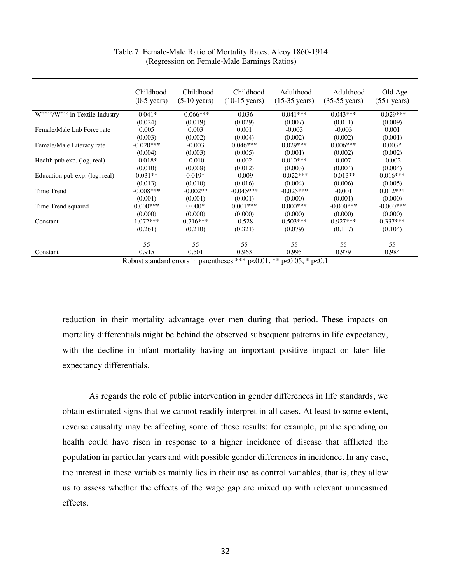|                                   | Childhood<br>$(0-5 \text{ years})$ | Childhood<br>$(5-10 \text{ years})$ | Childhood<br>$(10-15 \text{ years})$ | Adulthood<br>$(15-35 \text{ years})$ | Adulthood<br>$(35-55 \text{ years})$ | Old Age<br>$(55 + years)$ |
|-----------------------------------|------------------------------------|-------------------------------------|--------------------------------------|--------------------------------------|--------------------------------------|---------------------------|
| Wfemale/Wmale in Textile Industry | $-0.041*$                          | $-0.066***$                         | $-0.036$                             | $0.041***$                           | $0.043***$                           | $-0.029***$               |
|                                   | (0.024)                            | (0.019)                             | (0.029)                              | (0.007)                              | (0.011)                              | (0.009)                   |
| Female/Male Lab Force rate        | 0.005                              | 0.003                               | 0.001                                | $-0.003$                             | $-0.003$                             | 0.001                     |
|                                   | (0.003)                            | (0.002)                             | (0.004)                              | (0.002)                              | (0.002)                              | (0.001)                   |
| Female/Male Literacy rate         | $-0.020***$                        | $-0.003$                            | $0.046***$                           | $0.029***$                           | $0.006***$                           | $0.003*$                  |
|                                   | (0.004)                            | (0.003)                             | (0.005)                              | (0.001)                              | (0.002)                              | (0.002)                   |
| Health pub exp. (log, real)       | $-0.018*$                          | $-0.010$                            | 0.002                                | $0.010***$                           | 0.007                                | $-0.002$                  |
|                                   | (0.010)                            | (0.008)                             | (0.012)                              | (0.003)                              | (0.004)                              | (0.004)                   |
| Education pub exp. (log, real)    | $0.031**$                          | $0.019*$                            | $-0.009$                             | $-0.022***$                          | $-0.013**$                           | $0.016***$                |
|                                   | (0.013)                            | (0.010)                             | (0.016)                              | (0.004)                              | (0.006)                              | (0.005)                   |
| Time Trend                        | $-0.008***$                        | $-0.002**$                          | $-0.045***$                          | $-0.025***$                          | $-0.001$                             | $0.012***$                |
|                                   | (0.001)                            | (0.001)                             | (0.001)                              | (0.000)                              | (0.001)                              | (0.000)                   |
| Time Trend squared                | $0.000***$                         | $0.000*$                            | $0.001***$                           | $0.000***$                           | $-0.000$ ***                         | $-0.000$ ***              |
|                                   | (0.000)                            | (0.000)                             | (0.000)                              | (0.000)                              | (0.000)                              | (0.000)                   |
| Constant                          | $1.072***$                         | $0.716***$                          | $-0.528$                             | $0.503***$                           | $0.927***$                           | $0.337***$                |
|                                   | (0.261)                            | (0.210)                             | (0.321)                              | (0.079)                              | (0.117)                              | (0.104)                   |
|                                   | 55                                 | 55                                  | 55                                   | 55                                   | 55                                   | 55                        |
| Constant                          | 0.915                              | 0.501                               | 0.963                                | 0.995                                | 0.979                                | 0.984                     |

Table 7. Female-Male Ratio of Mortality Rates. Alcoy 1860-1914 (Regression on Female-Male Earnings Ratios)

Robust standard errors in parentheses \*\*\*  $p<0.01$ , \*\*  $p<0.05$ , \*  $p<0.1$ 

reduction in their mortality advantage over men during that period. These impacts on mortality differentials might be behind the observed subsequent patterns in life expectancy, with the decline in infant mortality having an important positive impact on later lifeexpectancy differentials.

As regards the role of public intervention in gender differences in life standards, we obtain estimated signs that we cannot readily interpret in all cases. At least to some extent, reverse causality may be affecting some of these results: for example, public spending on health could have risen in response to a higher incidence of disease that afflicted the population in particular years and with possible gender differences in incidence. In any case, the interest in these variables mainly lies in their use as control variables, that is, they allow us to assess whether the effects of the wage gap are mixed up with relevant unmeasured effects.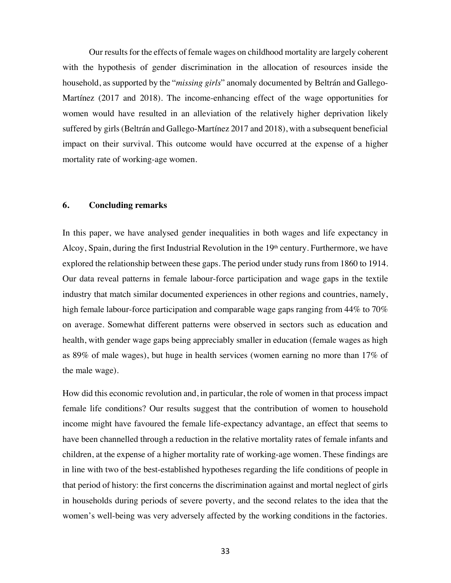Our results for the effects of female wages on childhood mortality are largely coherent with the hypothesis of gender discrimination in the allocation of resources inside the household, as supported by the "*missing girls*" anomaly documented by Beltrán and Gallego-Martínez (2017 and 2018). The income-enhancing effect of the wage opportunities for women would have resulted in an alleviation of the relatively higher deprivation likely suffered by girls (Beltrán and Gallego-Martínez 2017 and 2018), with a subsequent beneficial impact on their survival. This outcome would have occurred at the expense of a higher mortality rate of working-age women.

## **6. Concluding remarks**

In this paper, we have analysed gender inequalities in both wages and life expectancy in Alcoy, Spain, during the first Industrial Revolution in the  $19<sup>th</sup>$  century. Furthermore, we have explored the relationship between these gaps. The period under study runs from 1860 to 1914. Our data reveal patterns in female labour-force participation and wage gaps in the textile industry that match similar documented experiences in other regions and countries, namely, high female labour-force participation and comparable wage gaps ranging from 44% to 70% on average. Somewhat different patterns were observed in sectors such as education and health, with gender wage gaps being appreciably smaller in education (female wages as high as 89% of male wages), but huge in health services (women earning no more than 17% of the male wage).

How did this economic revolution and, in particular, the role of women in that process impact female life conditions? Our results suggest that the contribution of women to household income might have favoured the female life-expectancy advantage, an effect that seems to have been channelled through a reduction in the relative mortality rates of female infants and children, at the expense of a higher mortality rate of working-age women. These findings are in line with two of the best-established hypotheses regarding the life conditions of people in that period of history: the first concerns the discrimination against and mortal neglect of girls in households during periods of severe poverty, and the second relates to the idea that the women's well-being was very adversely affected by the working conditions in the factories.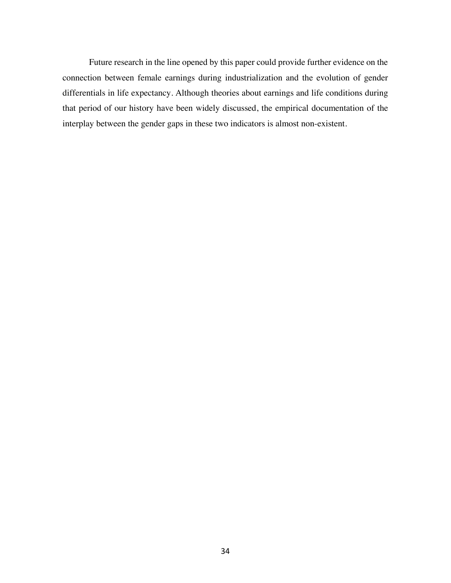Future research in the line opened by this paper could provide further evidence on the connection between female earnings during industrialization and the evolution of gender differentials in life expectancy. Although theories about earnings and life conditions during that period of our history have been widely discussed, the empirical documentation of the interplay between the gender gaps in these two indicators is almost non-existent.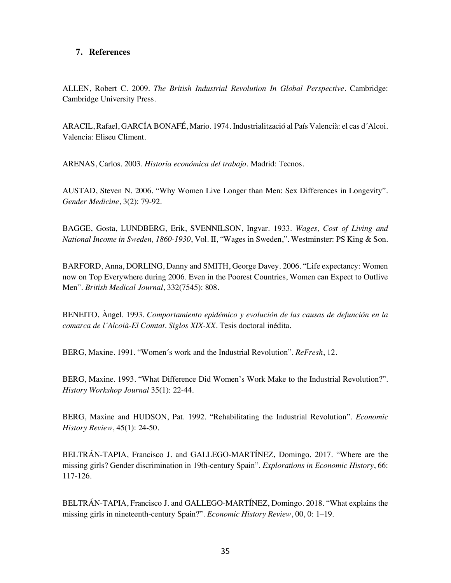# **7. References**

ALLEN, Robert C. 2009. *The British Industrial Revolution In Global Perspective*. Cambridge: Cambridge University Press.

ARACIL, Rafael, GARCÍA BONAFÉ, Mario. 1974. Industrialització al País Valencià: el cas d´Alcoi. Valencia: Eliseu Climent.

ARENAS, Carlos. 2003. *Historia económica del trabajo*. Madrid: Tecnos.

AUSTAD, Steven N. 2006. "Why Women Live Longer than Men: Sex Differences in Longevity". *Gender Medicine*, 3(2): 79-92.

BAGGE, Gosta, LUNDBERG, Erik, SVENNILSON, Ingvar. 1933. *Wages, Cost of Living and National Income in Sweden, 1860-1930*, Vol. II, "Wages in Sweden,". Westminster: PS King & Son.

BARFORD, Anna, DORLING, Danny and SMITH, George Davey. 2006. "Life expectancy: Women now on Top Everywhere during 2006. Even in the Poorest Countries, Women can Expect to Outlive Men". *British Medical Journal*, 332(7545): 808.

BENEITO, Àngel. 1993. *Comportamiento epidémico y evolución de las causas de defunción en la comarca de l´Alcoià-El Comtat. Siglos XIX-XX*. Tesis doctoral inédita.

BERG, Maxine. 1991. "Women´s work and the Industrial Revolution". *ReFresh*, 12.

BERG, Maxine. 1993. "What Difference Did Women's Work Make to the Industrial Revolution?". *History Workshop Journal* 35(1): 22-44.

BERG, Maxine and HUDSON, Pat. 1992. "Rehabilitating the Industrial Revolution". *Economic History Review*, 45(1): 24-50.

BELTRÁN-TAPIA, Francisco J. and GALLEGO-MARTÍNEZ, Domingo. 2017. "Where are the missing girls? Gender discrimination in 19th-century Spain". *Explorations in Economic History*, 66: 117-126.

BELTRÁN-TAPIA, Francisco J. and GALLEGO-MARTÍNEZ, Domingo. 2018. "What explains the missing girls in nineteenth-century Spain?". *Economic History Review*, 00, 0: 1–19.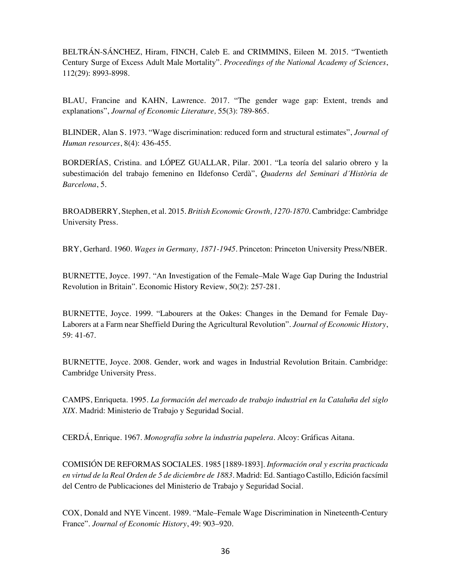BELTRÁN-SÁNCHEZ, Hiram, FINCH, Caleb E. and CRIMMINS, Eileen M. 2015. "Twentieth Century Surge of Excess Adult Male Mortality". *Proceedings of the National Academy of Sciences*, 112(29): 8993-8998.

BLAU, Francine and KAHN, Lawrence. 2017. "The gender wage gap: Extent, trends and explanations", *Journal of Economic Literature,* 55(3): 789-865.

BLINDER, Alan S. 1973. "Wage discrimination: reduced form and structural estimates", *Journal of Human resources*, 8(4): 436-455.

BORDERÍAS, Cristina. and LÓPEZ GUALLAR, Pilar. 2001. "La teoría del salario obrero y la subestimación del trabajo femenino en Ildefonso Cerdà", *Quaderns del Seminari d´Història de Barcelona*, 5.

BROADBERRY, Stephen, et al. 2015. *British Economic Growth, 1270-1870*. Cambridge: Cambridge University Press.

BRY, Gerhard. 1960. *Wages in Germany, 1871-1945*. Princeton: Princeton University Press/NBER.

BURNETTE, Joyce. 1997. "An Investigation of the Female–Male Wage Gap During the Industrial Revolution in Britain". Economic History Review, 50(2): 257-281.

BURNETTE, Joyce. 1999. "Labourers at the Oakes: Changes in the Demand for Female Day-Laborers at a Farm near Sheffield During the Agricultural Revolution". *Journal of Economic History*, 59: 41-67.

BURNETTE, Joyce. 2008. Gender, work and wages in Industrial Revolution Britain. Cambridge: Cambridge University Press.

CAMPS, Enriqueta. 1995. *La formación del mercado de trabajo industrial en la Cataluña del siglo XIX*. Madrid: Ministerio de Trabajo y Seguridad Social.

CERDÁ, Enrique. 1967. *Monografía sobre la industria papelera*. Alcoy: Gráficas Aitana.

COMISIÓN DE REFORMAS SOCIALES. 1985 [1889-1893]. *Información oral y escrita practicada en virtud de la Real Orden de 5 de diciembre de 1883*. Madrid: Ed. Santiago Castillo, Edición facsímil del Centro de Publicaciones del Ministerio de Trabajo y Seguridad Social.

COX, Donald and NYE Vincent. 1989. "Male–Female Wage Discrimination in Nineteenth-Century France". *Journal of Economic History*, 49: 903–920.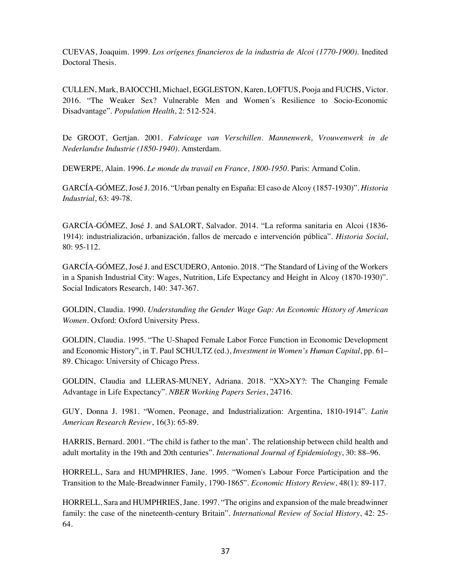CUEVAS, Joaquim. 1999. *Los orígenes financieros de la industria de Alcoi (1770-1900)*. Inedited Doctoral Thesis.

CULLEN, Mark, BAIOCCHI, Michael, EGGLESTON, Karen, LOFTUS, Pooja and FUCHS, Victor. 2016. "The Weaker Sex? Vulnerable Men and Women´s Resilience to Socio-Economic Disadvantage". *Population Health*, 2: 512-524.

De GROOT, Gertjan. 2001. *Fabricage van Verschillen. Mannenwerk, Vrouwenwerk in de Nederlandse Industrie (1850-1940)*. Amsterdam.

DEWERPE, Alain. 1996. *Le monde du travail en France, 1800-1950*. Paris: Armand Colin.

GARCÍA-GÓMEZ, José J. 2016. "Urban penalty en España: El caso de Alcoy (1857-1930)". *Historia Industrial*, 63: 49-78.

GARCÍA-GÓMEZ, José J. and SALORT, Salvador. 2014. "La reforma sanitaria en Alcoi (1836- 1914): industrialización, urbanización, fallos de mercado e intervención pública". *Historia Social*, 80: 95-112.

GARCÍA-GÓMEZ, José J. and ESCUDERO, Antonio. 2018. "The Standard of Living of the Workers in a Spanish Industrial City: Wages, Nutrition, Life Expectancy and Height in Alcoy (1870-1930)". Social Indicators Research, 140: 347-367.

GOLDIN, Claudia. 1990. *Understanding the Gender Wage Gap: An Economic History of American Women*. Oxford: Oxford University Press.

GOLDIN, Claudia. 1995. "The U-Shaped Female Labor Force Function in Economic Development and Economic History", in T. Paul SCHULTZ (ed.), *Investment in Women's Human Capital*, pp. 61– 89. Chicago: University of Chicago Press.

GOLDIN, Claudia and LLERAS-MUNEY, Adriana. 2018. "XX>XY?: The Changing Female Advantage in Life Expectancy". *NBER Working Papers Series*, 24716.

GUY, Donna J. 1981. "Women, Peonage, and Industrialization: Argentina, 1810-1914". *Latin American Research Review*, 16(3): 65-89.

HARRIS, Bernard. 2001. "The child is father to the man'. The relationship between child health and adult mortality in the 19th and 20th centuries". *International Journal of Epidemiology*, 30: 88–96.

HORRELL, Sara and HUMPHRIES, Jane. 1995. "Women's Labour Force Participation and the Transition to the Male-Breadwinner Family, 1790-1865". *Economic History Review,* 48(1): 89-117.

HORRELL, Sara and HUMPHRIES, Jane. 1997. "The origins and expansion of the male breadwinner family: the case of the nineteenth-century Britain". *International Review of Social History*, 42: 25- 64.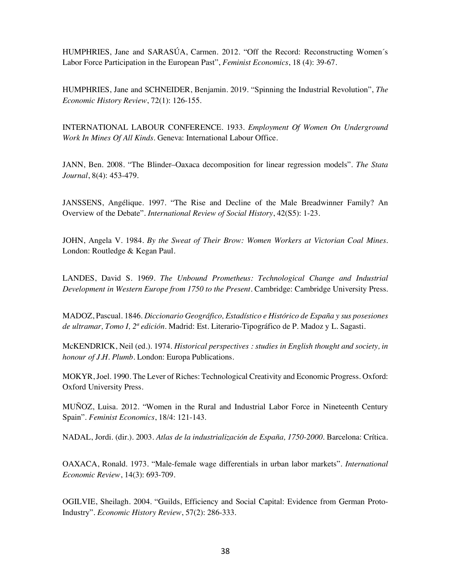HUMPHRIES, Jane and SARASÚA, Carmen. 2012. "Off the Record: Reconstructing Women´s Labor Force Participation in the European Past", *Feminist Economics*, 18 (4): 39-67.

HUMPHRIES, Jane and SCHNEIDER, Benjamin. 2019. "Spinning the Industrial Revolution", *The Economic History Review*, 72(1): 126-155.

INTERNATIONAL LABOUR CONFERENCE. 1933. *Employment Of Women On Underground Work In Mines Of All Kinds*. Geneva: International Labour Office.

JANN, Ben. 2008. "The Blinder–Oaxaca decomposition for linear regression models". *The Stata Journal*, 8(4): 453-479.

JANSSENS, Angélique. 1997. "The Rise and Decline of the Male Breadwinner Family? An Overview of the Debate". *International Review of Social History*, 42(S5): 1-23.

JOHN, Angela V. 1984. *By the Sweat of Their Brow: Women Workers at Victorian Coal Mines*. London: Routledge & Kegan Paul.

LANDES, David S. 1969. *The Unbound Prometheus: Technological Change and Industrial Development in Western Europe from 1750 to the Present*. Cambridge: Cambridge University Press.

MADOZ, Pascual. 1846. *Diccionario Geográfico, Estadístico e Histórico de España y sus posesiones de ultramar, Tomo I, 2ª edición*. Madrid: Est. Literario-Tipográfico de P. Madoz y L. Sagasti.

McKENDRICK, Neil (ed.). 1974. *Historical perspectives : studies in English thought and society, in honour of J.H. Plumb.* London: Europa Publications.

MOKYR, Joel. 1990. The Lever of Riches: Technological Creativity and Economic Progress. Oxford: Oxford University Press.

MUÑOZ, Luisa. 2012. "Women in the Rural and Industrial Labor Force in Nineteenth Century Spain". *Feminist Economics*, 18/4: 121-143.

NADAL, Jordi. (dir.). 2003. *Atlas de la industrialización de España, 1750-2000*. Barcelona: Crítica.

OAXACA, Ronald. 1973. "Male-female wage differentials in urban labor markets". *International Economic Review*, 14(3): 693-709.

OGILVIE, Sheilagh. 2004. "Guilds, Efficiency and Social Capital: Evidence from German Proto-Industry". *Economic History Review*, 57(2): 286-333.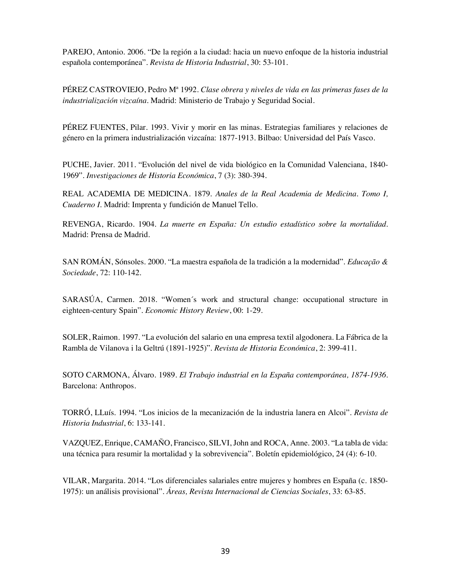PAREJO, Antonio. 2006. "De la región a la ciudad: hacia un nuevo enfoque de la historia industrial española contemporánea". *Revista de Historia Industrial*, 30: 53-101.

PÉREZ CASTROVIEJO, Pedro Mª 1992. *Clase obrera y niveles de vida en las primeras fases de la industrialización vizcaína*. Madrid: Ministerio de Trabajo y Seguridad Social.

PÉREZ FUENTES, Pilar. 1993. Vivir y morir en las minas. Estrategias familiares y relaciones de género en la primera industrialización vizcaína: 1877-1913. Bilbao: Universidad del País Vasco.

PUCHE, Javier. 2011. "Evolución del nivel de vida biológico en la Comunidad Valenciana, 1840- 1969". *Investigaciones de Historia Económica*, 7 (3): 380-394.

REAL ACADEMIA DE MEDICINA. 1879. *Anales de la Real Academia de Medicina. Tomo I, Cuaderno I*. Madrid: Imprenta y fundición de Manuel Tello.

REVENGA, Ricardo. 1904. *La muerte en España: Un estudio estadístico sobre la mortalidad*. Madrid: Prensa de Madrid.

SAN ROMÁN, Sónsoles. 2000. "La maestra española de la tradición a la modernidad". *Educação & Sociedade*, 72: 110-142.

SARASÚA, Carmen. 2018. "Women´s work and structural change: occupational structure in eighteen-century Spain". *Economic History Review*, 00: 1-29.

SOLER, Raimon. 1997. "La evolución del salario en una empresa textil algodonera. La Fábrica de la Rambla de Vilanova i la Geltrú (1891-1925)". *Revista de Historia Económica*, 2: 399-411.

SOTO CARMONA, Álvaro. 1989. *El Trabajo industrial en la España contemporánea, 1874-1936*. Barcelona: Anthropos.

TORRÓ, LLuís. 1994. "Los inicios de la mecanización de la industria lanera en Alcoi". *Revista de Historia Industrial*, 6: 133-141.

VAZQUEZ, Enrique, CAMAÑO, Francisco, SILVI, John and ROCA, Anne. 2003. "La tabla de vida: una técnica para resumir la mortalidad y la sobrevivencia". Boletín epidemiológico, 24 (4): 6-10.

VILAR, Margarita. 2014. "Los diferenciales salariales entre mujeres y hombres en España (c. 1850- 1975): un análisis provisional". *Áreas, Revista Internacional de Ciencias Sociales*, 33: 63-85.